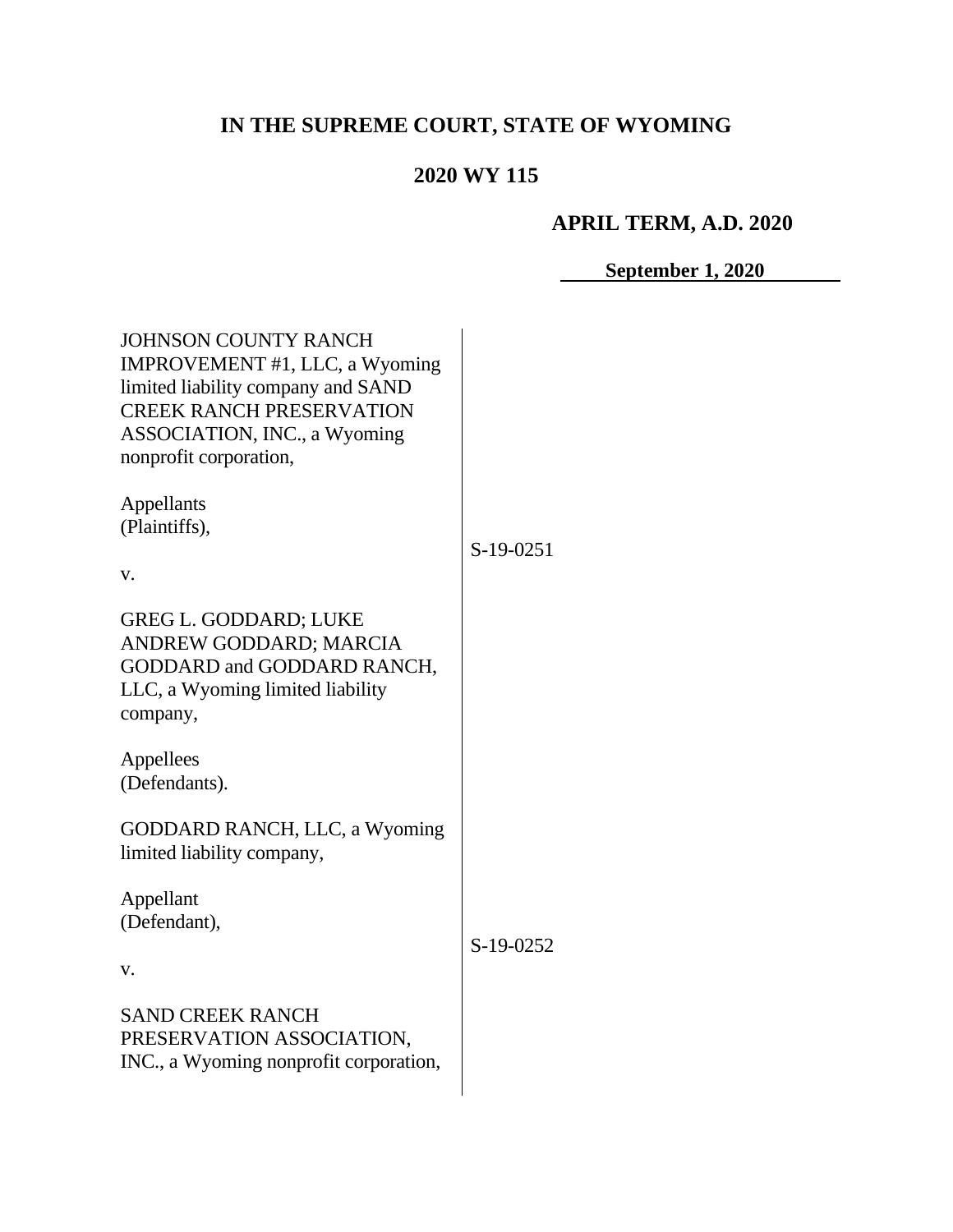# **IN THE SUPREME COURT, STATE OF WYOMING**

# **2020 WY 115**

# **APRIL TERM, A.D. 2020**

**September 1, 2020**

| <b>JOHNSON COUNTY RANCH</b><br>IMPROVEMENT #1, LLC, a Wyoming<br>limited liability company and SAND<br><b>CREEK RANCH PRESERVATION</b><br><b>ASSOCIATION, INC., a Wyoming</b><br>nonprofit corporation, |           |
|---------------------------------------------------------------------------------------------------------------------------------------------------------------------------------------------------------|-----------|
| Appellants<br>(Plaintiffs),<br>V.                                                                                                                                                                       | S-19-0251 |
| <b>GREG L. GODDARD; LUKE</b><br>ANDREW GODDARD; MARCIA<br>GODDARD and GODDARD RANCH,<br>LLC, a Wyoming limited liability<br>company,                                                                    |           |
| Appellees<br>(Defendants).                                                                                                                                                                              |           |
| GODDARD RANCH, LLC, a Wyoming<br>limited liability company,                                                                                                                                             |           |
| Appellant<br>(Defendant),<br>V.                                                                                                                                                                         | S-19-0252 |
| <b>SAND CREEK RANCH</b><br>PRESERVATION ASSOCIATION,<br>INC., a Wyoming nonprofit corporation,                                                                                                          |           |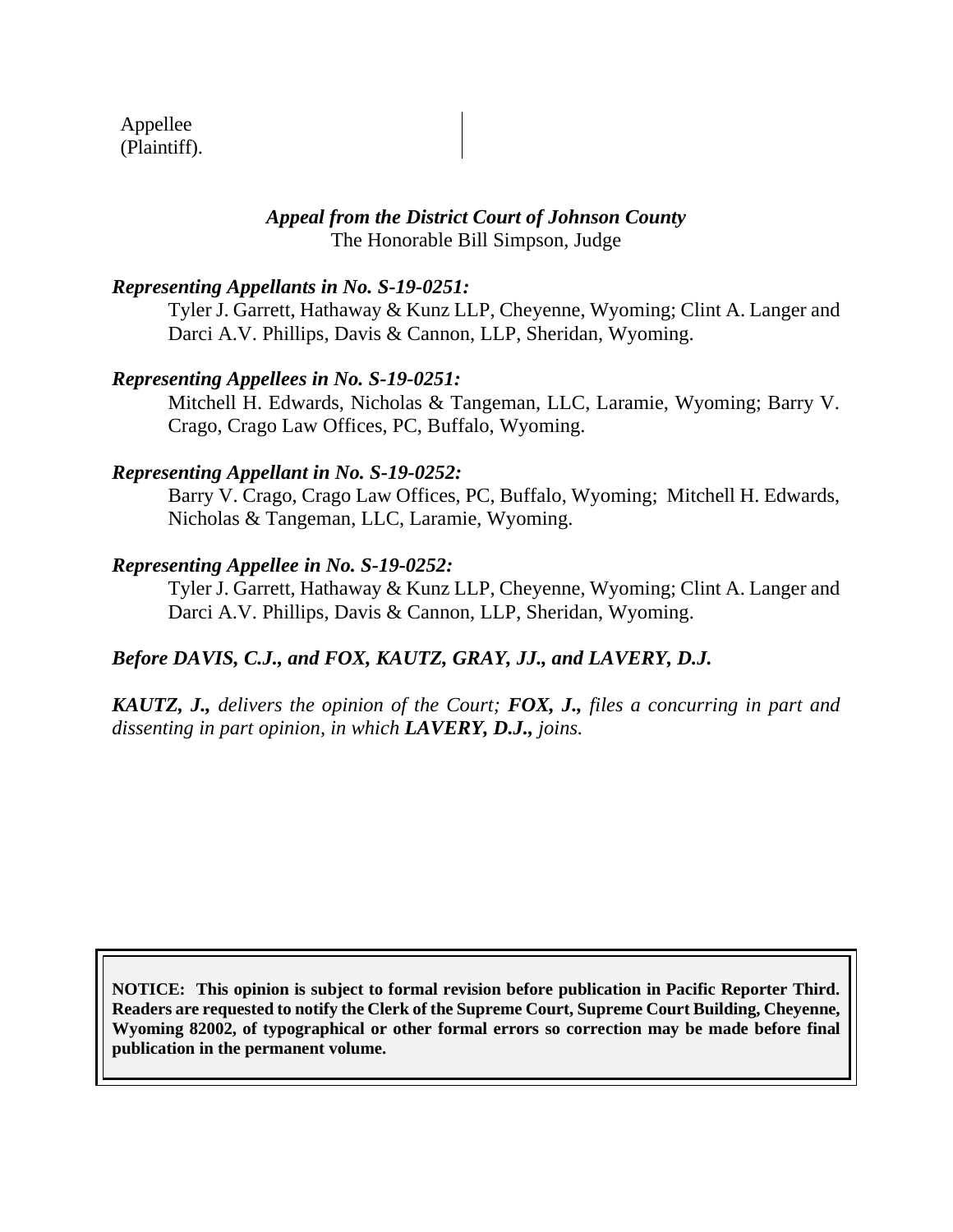Appellee (Plaintiff).

#### *Appeal from the District Court of Johnson County* The Honorable Bill Simpson, Judge

#### *Representing Appellants in No. S-19-0251:*

Tyler J. Garrett, Hathaway & Kunz LLP, Cheyenne, Wyoming; Clint A. Langer and Darci A.V. Phillips, Davis & Cannon, LLP, Sheridan, Wyoming.

#### *Representing Appellees in No. S-19-0251:*

Mitchell H. Edwards, Nicholas & Tangeman, LLC, Laramie, Wyoming; Barry V. Crago, Crago Law Offices, PC, Buffalo, Wyoming.

#### *Representing Appellant in No. S-19-0252:*

Barry V. Crago, Crago Law Offices, PC, Buffalo, Wyoming; Mitchell H. Edwards, Nicholas & Tangeman, LLC, Laramie, Wyoming.

#### *Representing Appellee in No. S-19-0252:*

Tyler J. Garrett, Hathaway & Kunz LLP, Cheyenne, Wyoming; Clint A. Langer and Darci A.V. Phillips, Davis & Cannon, LLP, Sheridan, Wyoming.

## *Before DAVIS, C.J., and FOX, KAUTZ, GRAY, JJ., and LAVERY, D.J.*

*KAUTZ, J., delivers the opinion of the Court; FOX, J., files a concurring in part and dissenting in part opinion, in which LAVERY, D.J., joins.*

**NOTICE: This opinion is subject to formal revision before publication in Pacific Reporter Third. Readers are requested to notify the Clerk of the Supreme Court, Supreme Court Building, Cheyenne, Wyoming 82002, of typographical or other formal errors so correction may be made before final publication in the permanent volume.**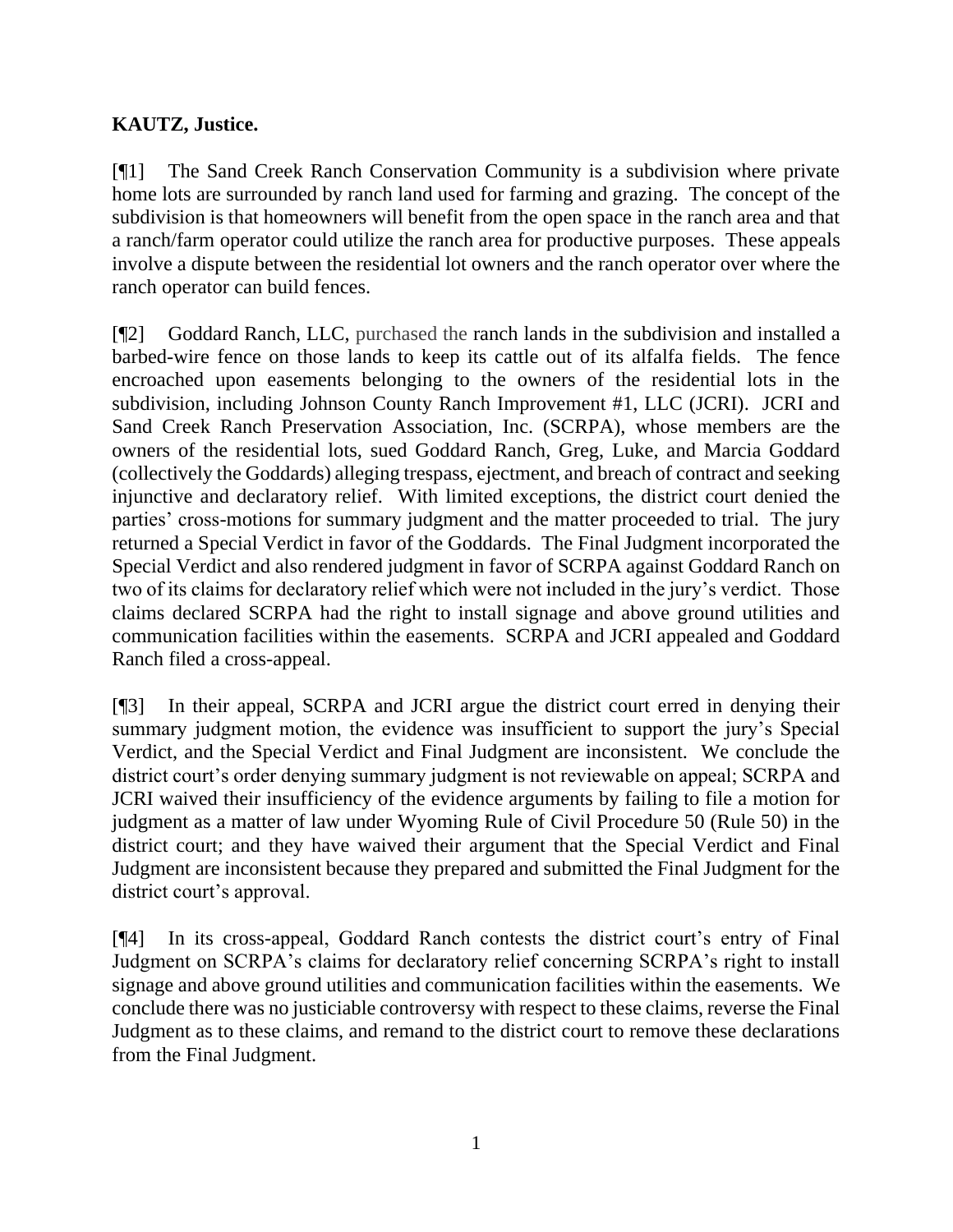# **KAUTZ, Justice.**

[¶1] The Sand Creek Ranch Conservation Community is a subdivision where private home lots are surrounded by ranch land used for farming and grazing. The concept of the subdivision is that homeowners will benefit from the open space in the ranch area and that a ranch/farm operator could utilize the ranch area for productive purposes. These appeals involve a dispute between the residential lot owners and the ranch operator over where the ranch operator can build fences.

[¶2] Goddard Ranch, LLC, purchased the ranch lands in the subdivision and installed a barbed-wire fence on those lands to keep its cattle out of its alfalfa fields. The fence encroached upon easements belonging to the owners of the residential lots in the subdivision, including Johnson County Ranch Improvement #1, LLC (JCRI). JCRI and Sand Creek Ranch Preservation Association, Inc. (SCRPA), whose members are the owners of the residential lots, sued Goddard Ranch, Greg, Luke, and Marcia Goddard (collectively the Goddards) alleging trespass, ejectment, and breach of contract and seeking injunctive and declaratory relief. With limited exceptions, the district court denied the parties' cross-motions for summary judgment and the matter proceeded to trial. The jury returned a Special Verdict in favor of the Goddards. The Final Judgment incorporated the Special Verdict and also rendered judgment in favor of SCRPA against Goddard Ranch on two of its claims for declaratory relief which were not included in the jury's verdict. Those claims declared SCRPA had the right to install signage and above ground utilities and communication facilities within the easements. SCRPA and JCRI appealed and Goddard Ranch filed a cross-appeal.

[¶3] In their appeal, SCRPA and JCRI argue the district court erred in denying their summary judgment motion, the evidence was insufficient to support the jury's Special Verdict, and the Special Verdict and Final Judgment are inconsistent. We conclude the district court's order denying summary judgment is not reviewable on appeal; SCRPA and JCRI waived their insufficiency of the evidence arguments by failing to file a motion for judgment as a matter of law under Wyoming Rule of Civil Procedure 50 (Rule 50) in the district court; and they have waived their argument that the Special Verdict and Final Judgment are inconsistent because they prepared and submitted the Final Judgment for the district court's approval.

[¶4] In its cross-appeal, Goddard Ranch contests the district court's entry of Final Judgment on SCRPA's claims for declaratory relief concerning SCRPA's right to install signage and above ground utilities and communication facilities within the easements. We conclude there was no justiciable controversy with respect to these claims, reverse the Final Judgment as to these claims, and remand to the district court to remove these declarations from the Final Judgment.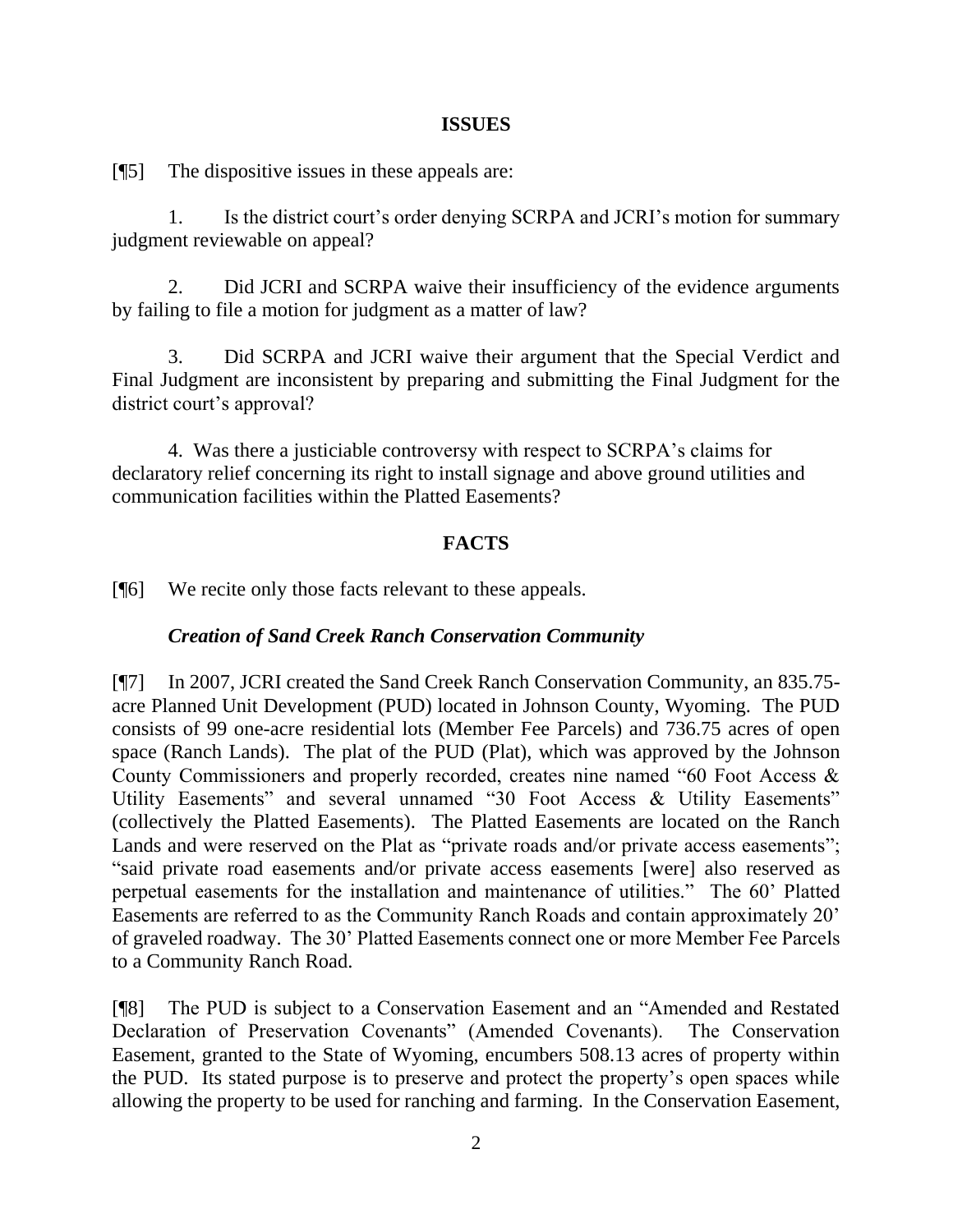#### **ISSUES**

[¶5] The dispositive issues in these appeals are:

1. Is the district court's order denying SCRPA and JCRI's motion for summary judgment reviewable on appeal?

2. Did JCRI and SCRPA waive their insufficiency of the evidence arguments by failing to file a motion for judgment as a matter of law?

3. Did SCRPA and JCRI waive their argument that the Special Verdict and Final Judgment are inconsistent by preparing and submitting the Final Judgment for the district court's approval?

4. Was there a justiciable controversy with respect to SCRPA's claims for declaratory relief concerning its right to install signage and above ground utilities and communication facilities within the Platted Easements?

## **FACTS**

[¶6] We recite only those facts relevant to these appeals.

## *Creation of Sand Creek Ranch Conservation Community*

[¶7] In 2007, JCRI created the Sand Creek Ranch Conservation Community, an 835.75 acre Planned Unit Development (PUD) located in Johnson County, Wyoming. The PUD consists of 99 one-acre residential lots (Member Fee Parcels) and 736.75 acres of open space (Ranch Lands). The plat of the PUD (Plat), which was approved by the Johnson County Commissioners and properly recorded, creates nine named "60 Foot Access & Utility Easements" and several unnamed "30 Foot Access & Utility Easements" (collectively the Platted Easements). The Platted Easements are located on the Ranch Lands and were reserved on the Plat as "private roads and/or private access easements"; "said private road easements and/or private access easements [were] also reserved as perpetual easements for the installation and maintenance of utilities." The 60' Platted Easements are referred to as the Community Ranch Roads and contain approximately 20' of graveled roadway. The 30' Platted Easements connect one or more Member Fee Parcels to a Community Ranch Road.

[¶8] The PUD is subject to a Conservation Easement and an "Amended and Restated Declaration of Preservation Covenants" (Amended Covenants). The Conservation Easement, granted to the State of Wyoming, encumbers 508.13 acres of property within the PUD. Its stated purpose is to preserve and protect the property's open spaces while allowing the property to be used for ranching and farming. In the Conservation Easement,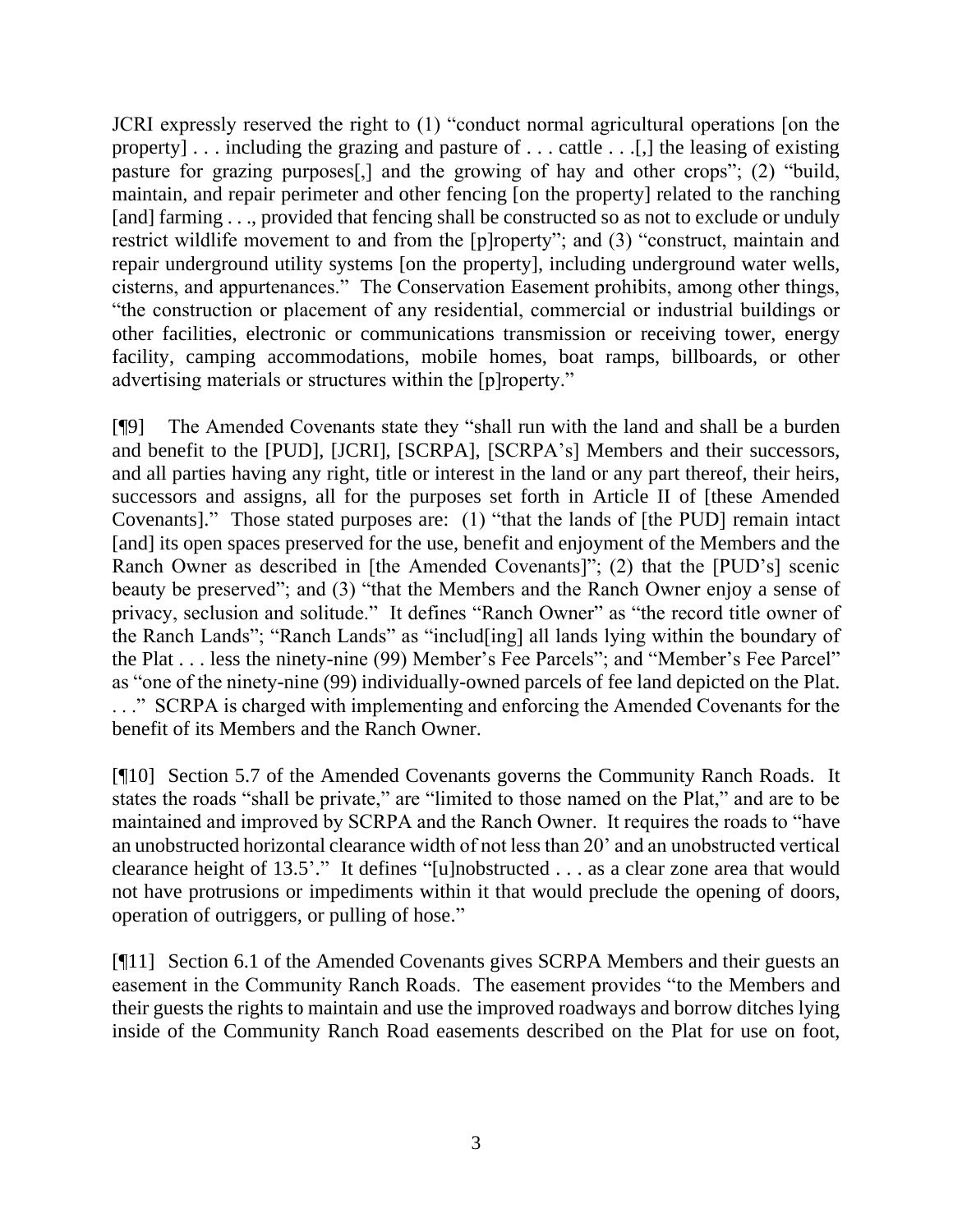JCRI expressly reserved the right to (1) "conduct normal agricultural operations [on the property] . . . including the grazing and pasture of . . . cattle . . .[,] the leasing of existing pasture for grazing purposes[,] and the growing of hay and other crops"; (2) "build, maintain, and repair perimeter and other fencing [on the property] related to the ranching [and] farming . . ., provided that fencing shall be constructed so as not to exclude or unduly restrict wildlife movement to and from the [p]roperty"; and (3) "construct, maintain and repair underground utility systems [on the property], including underground water wells, cisterns, and appurtenances." The Conservation Easement prohibits, among other things, "the construction or placement of any residential, commercial or industrial buildings or other facilities, electronic or communications transmission or receiving tower, energy facility, camping accommodations, mobile homes, boat ramps, billboards, or other advertising materials or structures within the [p]roperty."

[¶9] The Amended Covenants state they "shall run with the land and shall be a burden and benefit to the [PUD], [JCRI], [SCRPA], [SCRPA's] Members and their successors, and all parties having any right, title or interest in the land or any part thereof, their heirs, successors and assigns, all for the purposes set forth in Article II of [these Amended Covenants]." Those stated purposes are: (1) "that the lands of [the PUD] remain intact [and] its open spaces preserved for the use, benefit and enjoyment of the Members and the Ranch Owner as described in [the Amended Covenants]"; (2) that the [PUD's] scenic beauty be preserved"; and (3) "that the Members and the Ranch Owner enjoy a sense of privacy, seclusion and solitude." It defines "Ranch Owner" as "the record title owner of the Ranch Lands"; "Ranch Lands" as "includ[ing] all lands lying within the boundary of the Plat . . . less the ninety-nine (99) Member's Fee Parcels"; and "Member's Fee Parcel" as "one of the ninety-nine (99) individually-owned parcels of fee land depicted on the Plat. . . ." SCRPA is charged with implementing and enforcing the Amended Covenants for the benefit of its Members and the Ranch Owner.

[¶10] Section 5.7 of the Amended Covenants governs the Community Ranch Roads. It states the roads "shall be private," are "limited to those named on the Plat," and are to be maintained and improved by SCRPA and the Ranch Owner. It requires the roads to "have an unobstructed horizontal clearance width of not less than 20' and an unobstructed vertical clearance height of 13.5'." It defines "[u]nobstructed . . . as a clear zone area that would not have protrusions or impediments within it that would preclude the opening of doors, operation of outriggers, or pulling of hose."

[¶11] Section 6.1 of the Amended Covenants gives SCRPA Members and their guests an easement in the Community Ranch Roads. The easement provides "to the Members and their guests the rights to maintain and use the improved roadways and borrow ditches lying inside of the Community Ranch Road easements described on the Plat for use on foot,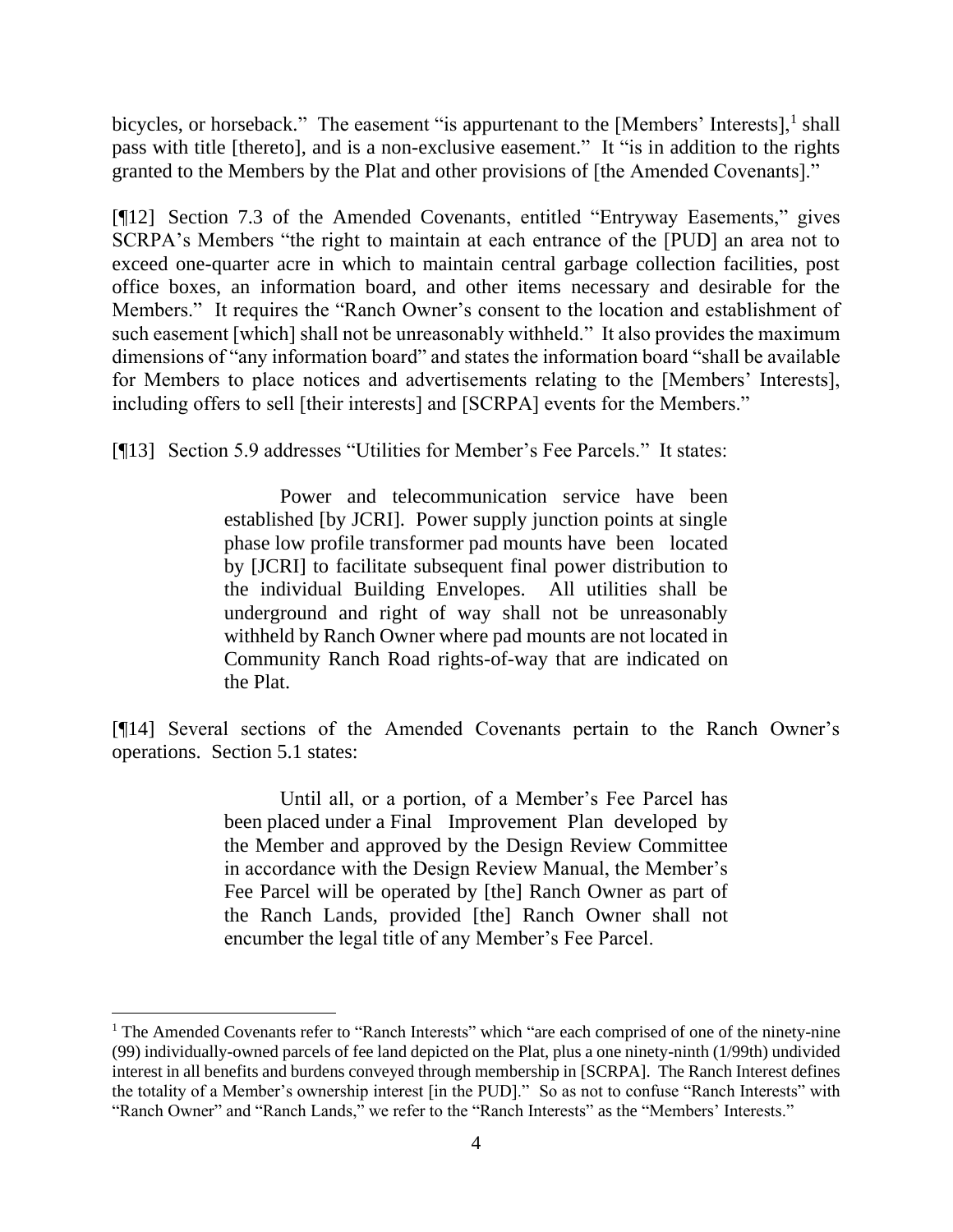bicycles, or horseback." The easement "is appurtenant to the [Members' Interests], $<sup>1</sup>$  shall</sup> pass with title [thereto], and is a non-exclusive easement." It "is in addition to the rights granted to the Members by the Plat and other provisions of [the Amended Covenants]."

[¶12] Section 7.3 of the Amended Covenants, entitled "Entryway Easements," gives SCRPA's Members "the right to maintain at each entrance of the [PUD] an area not to exceed one-quarter acre in which to maintain central garbage collection facilities, post office boxes, an information board, and other items necessary and desirable for the Members." It requires the "Ranch Owner's consent to the location and establishment of such easement [which] shall not be unreasonably withheld." It also provides the maximum dimensions of "any information board" and states the information board "shall be available for Members to place notices and advertisements relating to the [Members' Interests], including offers to sell [their interests] and [SCRPA] events for the Members."

[¶13] Section 5.9 addresses "Utilities for Member's Fee Parcels." It states:

Power and telecommunication service have been established [by JCRI]. Power supply junction points at single phase low profile transformer pad mounts have been located by [JCRI] to facilitate subsequent final power distribution to the individual Building Envelopes. All utilities shall be underground and right of way shall not be unreasonably withheld by Ranch Owner where pad mounts are not located in Community Ranch Road rights-of-way that are indicated on the Plat.

[¶14] Several sections of the Amended Covenants pertain to the Ranch Owner's operations. Section 5.1 states:

> Until all, or a portion, of a Member's Fee Parcel has been placed under a Final Improvement Plan developed by the Member and approved by the Design Review Committee in accordance with the Design Review Manual, the Member's Fee Parcel will be operated by [the] Ranch Owner as part of the Ranch Lands, provided [the] Ranch Owner shall not encumber the legal title of any Member's Fee Parcel.

<sup>&</sup>lt;sup>1</sup> The Amended Covenants refer to "Ranch Interests" which "are each comprised of one of the ninety-nine (99) individually-owned parcels of fee land depicted on the Plat, plus a one ninety-ninth (1/99th) undivided interest in all benefits and burdens conveyed through membership in [SCRPA]. The Ranch Interest defines the totality of a Member's ownership interest [in the PUD]." So as not to confuse "Ranch Interests" with "Ranch Owner" and "Ranch Lands," we refer to the "Ranch Interests" as the "Members' Interests."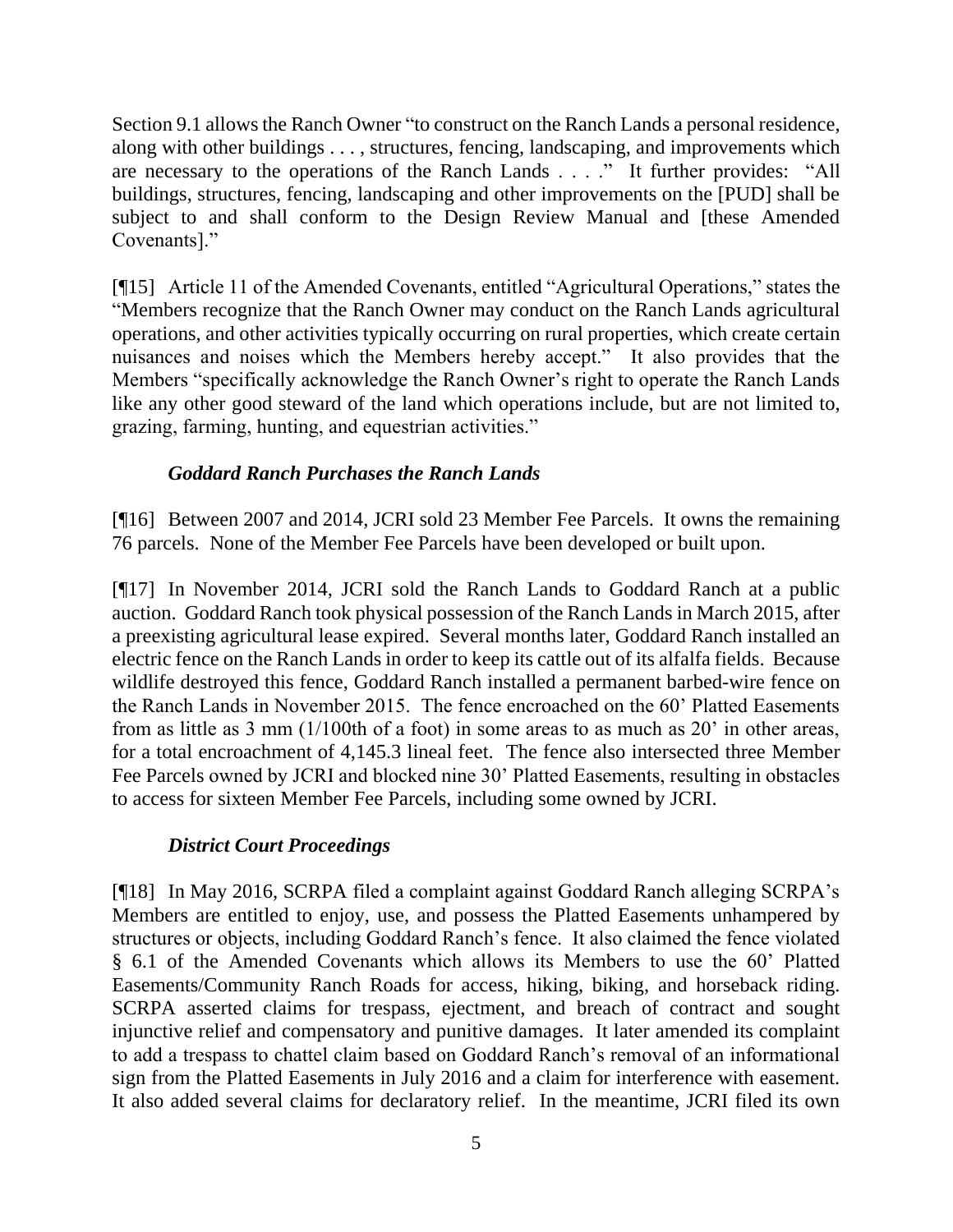Section 9.1 allows the Ranch Owner "to construct on the Ranch Lands a personal residence, along with other buildings . . . , structures, fencing, landscaping, and improvements which are necessary to the operations of the Ranch Lands . . . ." It further provides: "All buildings, structures, fencing, landscaping and other improvements on the [PUD] shall be subject to and shall conform to the Design Review Manual and [these Amended Covenants]."

[¶15] Article 11 of the Amended Covenants, entitled "Agricultural Operations," states the "Members recognize that the Ranch Owner may conduct on the Ranch Lands agricultural operations, and other activities typically occurring on rural properties, which create certain nuisances and noises which the Members hereby accept." It also provides that the Members "specifically acknowledge the Ranch Owner's right to operate the Ranch Lands like any other good steward of the land which operations include, but are not limited to, grazing, farming, hunting, and equestrian activities."

# *Goddard Ranch Purchases the Ranch Lands*

[¶16] Between 2007 and 2014, JCRI sold 23 Member Fee Parcels. It owns the remaining 76 parcels. None of the Member Fee Parcels have been developed or built upon.

[¶17] In November 2014, JCRI sold the Ranch Lands to Goddard Ranch at a public auction. Goddard Ranch took physical possession of the Ranch Lands in March 2015, after a preexisting agricultural lease expired. Several months later, Goddard Ranch installed an electric fence on the Ranch Lands in order to keep its cattle out of its alfalfa fields. Because wildlife destroyed this fence, Goddard Ranch installed a permanent barbed-wire fence on the Ranch Lands in November 2015. The fence encroached on the 60' Platted Easements from as little as 3 mm (1/100th of a foot) in some areas to as much as 20' in other areas, for a total encroachment of 4,145.3 lineal feet. The fence also intersected three Member Fee Parcels owned by JCRI and blocked nine 30' Platted Easements, resulting in obstacles to access for sixteen Member Fee Parcels, including some owned by JCRI.

# *District Court Proceedings*

[¶18] In May 2016, SCRPA filed a complaint against Goddard Ranch alleging SCRPA's Members are entitled to enjoy, use, and possess the Platted Easements unhampered by structures or objects, including Goddard Ranch's fence. It also claimed the fence violated § 6.1 of the Amended Covenants which allows its Members to use the 60' Platted Easements/Community Ranch Roads for access, hiking, biking, and horseback riding. SCRPA asserted claims for trespass, ejectment, and breach of contract and sought injunctive relief and compensatory and punitive damages. It later amended its complaint to add a trespass to chattel claim based on Goddard Ranch's removal of an informational sign from the Platted Easements in July 2016 and a claim for interference with easement. It also added several claims for declaratory relief. In the meantime, JCRI filed its own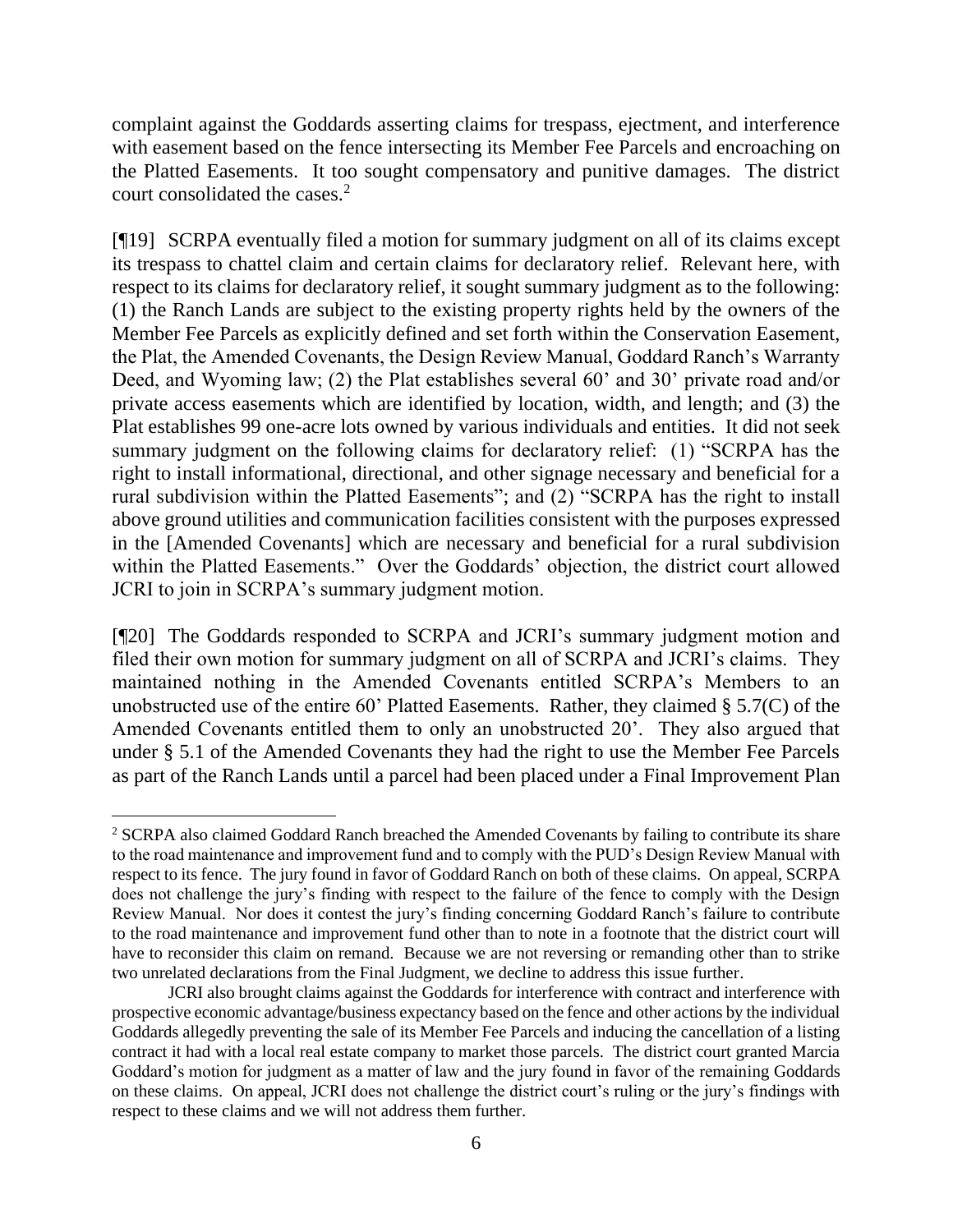complaint against the Goddards asserting claims for trespass, ejectment, and interference with easement based on the fence intersecting its Member Fee Parcels and encroaching on the Platted Easements. It too sought compensatory and punitive damages. The district court consolidated the cases.<sup>2</sup>

[¶19] SCRPA eventually filed a motion for summary judgment on all of its claims except its trespass to chattel claim and certain claims for declaratory relief. Relevant here, with respect to its claims for declaratory relief, it sought summary judgment as to the following: (1) the Ranch Lands are subject to the existing property rights held by the owners of the Member Fee Parcels as explicitly defined and set forth within the Conservation Easement, the Plat, the Amended Covenants, the Design Review Manual, Goddard Ranch's Warranty Deed, and Wyoming law; (2) the Plat establishes several 60' and 30' private road and/or private access easements which are identified by location, width, and length; and (3) the Plat establishes 99 one-acre lots owned by various individuals and entities. It did not seek summary judgment on the following claims for declaratory relief: (1) "SCRPA has the right to install informational, directional, and other signage necessary and beneficial for a rural subdivision within the Platted Easements"; and (2) "SCRPA has the right to install above ground utilities and communication facilities consistent with the purposes expressed in the [Amended Covenants] which are necessary and beneficial for a rural subdivision within the Platted Easements." Over the Goddards' objection, the district court allowed JCRI to join in SCRPA's summary judgment motion.

[¶20] The Goddards responded to SCRPA and JCRI's summary judgment motion and filed their own motion for summary judgment on all of SCRPA and JCRI's claims. They maintained nothing in the Amended Covenants entitled SCRPA's Members to an unobstructed use of the entire 60' Platted Easements. Rather, they claimed § 5.7(C) of the Amended Covenants entitled them to only an unobstructed 20'. They also argued that under § 5.1 of the Amended Covenants they had the right to use the Member Fee Parcels as part of the Ranch Lands until a parcel had been placed under a Final Improvement Plan

<sup>&</sup>lt;sup>2</sup> SCRPA also claimed Goddard Ranch breached the Amended Covenants by failing to contribute its share to the road maintenance and improvement fund and to comply with the PUD's Design Review Manual with respect to its fence. The jury found in favor of Goddard Ranch on both of these claims. On appeal, SCRPA does not challenge the jury's finding with respect to the failure of the fence to comply with the Design Review Manual. Nor does it contest the jury's finding concerning Goddard Ranch's failure to contribute to the road maintenance and improvement fund other than to note in a footnote that the district court will have to reconsider this claim on remand. Because we are not reversing or remanding other than to strike two unrelated declarations from the Final Judgment, we decline to address this issue further.

JCRI also brought claims against the Goddards for interference with contract and interference with prospective economic advantage/business expectancy based on the fence and other actions by the individual Goddards allegedly preventing the sale of its Member Fee Parcels and inducing the cancellation of a listing contract it had with a local real estate company to market those parcels. The district court granted Marcia Goddard's motion for judgment as a matter of law and the jury found in favor of the remaining Goddards on these claims. On appeal, JCRI does not challenge the district court's ruling or the jury's findings with respect to these claims and we will not address them further.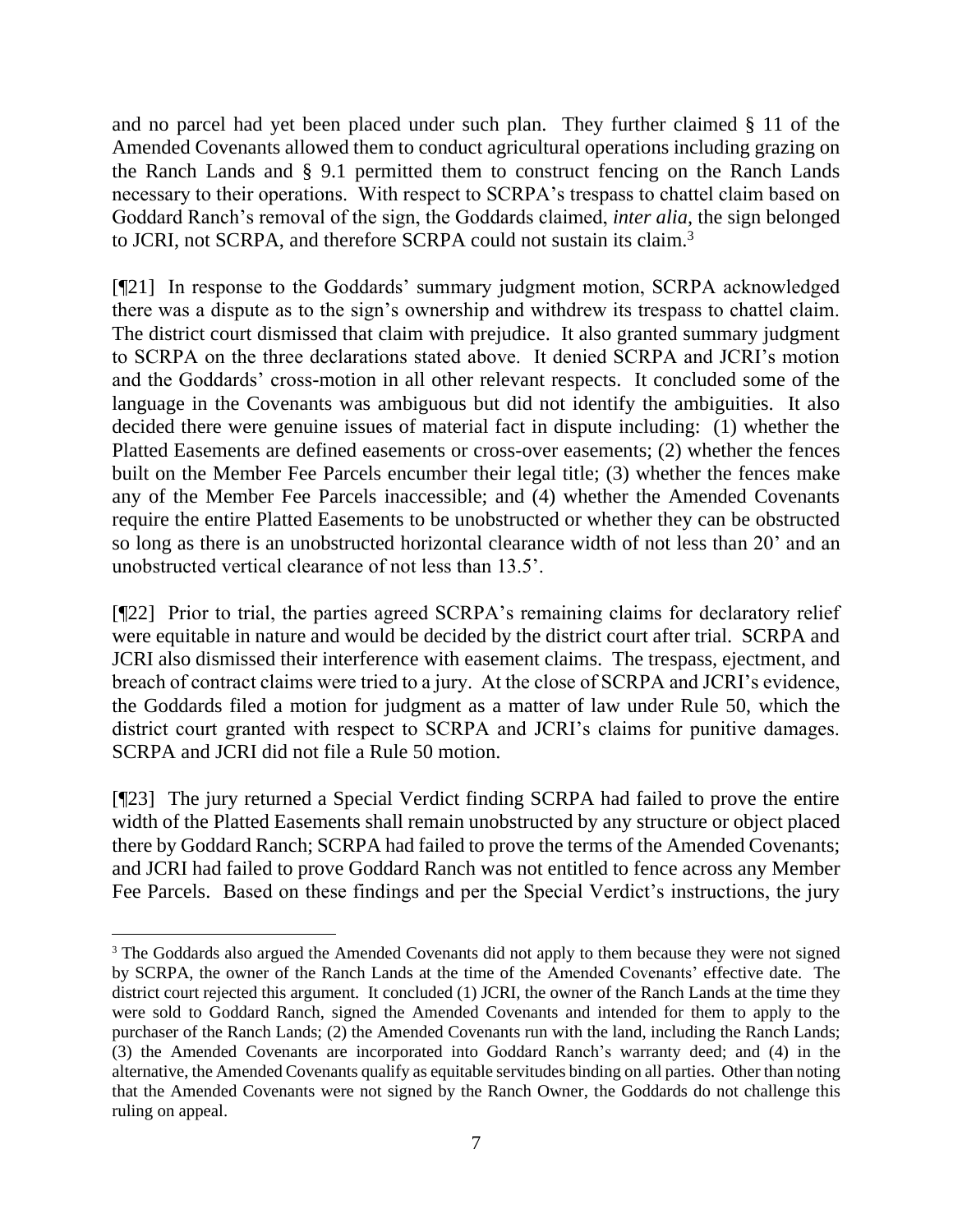and no parcel had yet been placed under such plan. They further claimed § 11 of the Amended Covenants allowed them to conduct agricultural operations including grazing on the Ranch Lands and § 9.1 permitted them to construct fencing on the Ranch Lands necessary to their operations. With respect to SCRPA's trespass to chattel claim based on Goddard Ranch's removal of the sign, the Goddards claimed, *inter alia*, the sign belonged to JCRI, not SCRPA, and therefore SCRPA could not sustain its claim.<sup>3</sup>

[¶21] In response to the Goddards' summary judgment motion, SCRPA acknowledged there was a dispute as to the sign's ownership and withdrew its trespass to chattel claim. The district court dismissed that claim with prejudice. It also granted summary judgment to SCRPA on the three declarations stated above. It denied SCRPA and JCRI's motion and the Goddards' cross-motion in all other relevant respects. It concluded some of the language in the Covenants was ambiguous but did not identify the ambiguities. It also decided there were genuine issues of material fact in dispute including: (1) whether the Platted Easements are defined easements or cross-over easements; (2) whether the fences built on the Member Fee Parcels encumber their legal title; (3) whether the fences make any of the Member Fee Parcels inaccessible; and (4) whether the Amended Covenants require the entire Platted Easements to be unobstructed or whether they can be obstructed so long as there is an unobstructed horizontal clearance width of not less than 20' and an unobstructed vertical clearance of not less than 13.5'.

[¶22] Prior to trial, the parties agreed SCRPA's remaining claims for declaratory relief were equitable in nature and would be decided by the district court after trial. SCRPA and JCRI also dismissed their interference with easement claims. The trespass, ejectment, and breach of contract claims were tried to a jury. At the close of SCRPA and JCRI's evidence, the Goddards filed a motion for judgment as a matter of law under Rule 50, which the district court granted with respect to SCRPA and JCRI's claims for punitive damages. SCRPA and JCRI did not file a Rule 50 motion.

[¶23] The jury returned a Special Verdict finding SCRPA had failed to prove the entire width of the Platted Easements shall remain unobstructed by any structure or object placed there by Goddard Ranch; SCRPA had failed to prove the terms of the Amended Covenants; and JCRI had failed to prove Goddard Ranch was not entitled to fence across any Member Fee Parcels. Based on these findings and per the Special Verdict's instructions, the jury

<sup>&</sup>lt;sup>3</sup> The Goddards also argued the Amended Covenants did not apply to them because they were not signed by SCRPA, the owner of the Ranch Lands at the time of the Amended Covenants' effective date. The district court rejected this argument. It concluded (1) JCRI, the owner of the Ranch Lands at the time they were sold to Goddard Ranch, signed the Amended Covenants and intended for them to apply to the purchaser of the Ranch Lands; (2) the Amended Covenants run with the land, including the Ranch Lands; (3) the Amended Covenants are incorporated into Goddard Ranch's warranty deed; and (4) in the alternative, the Amended Covenants qualify as equitable servitudes binding on all parties. Other than noting that the Amended Covenants were not signed by the Ranch Owner, the Goddards do not challenge this ruling on appeal.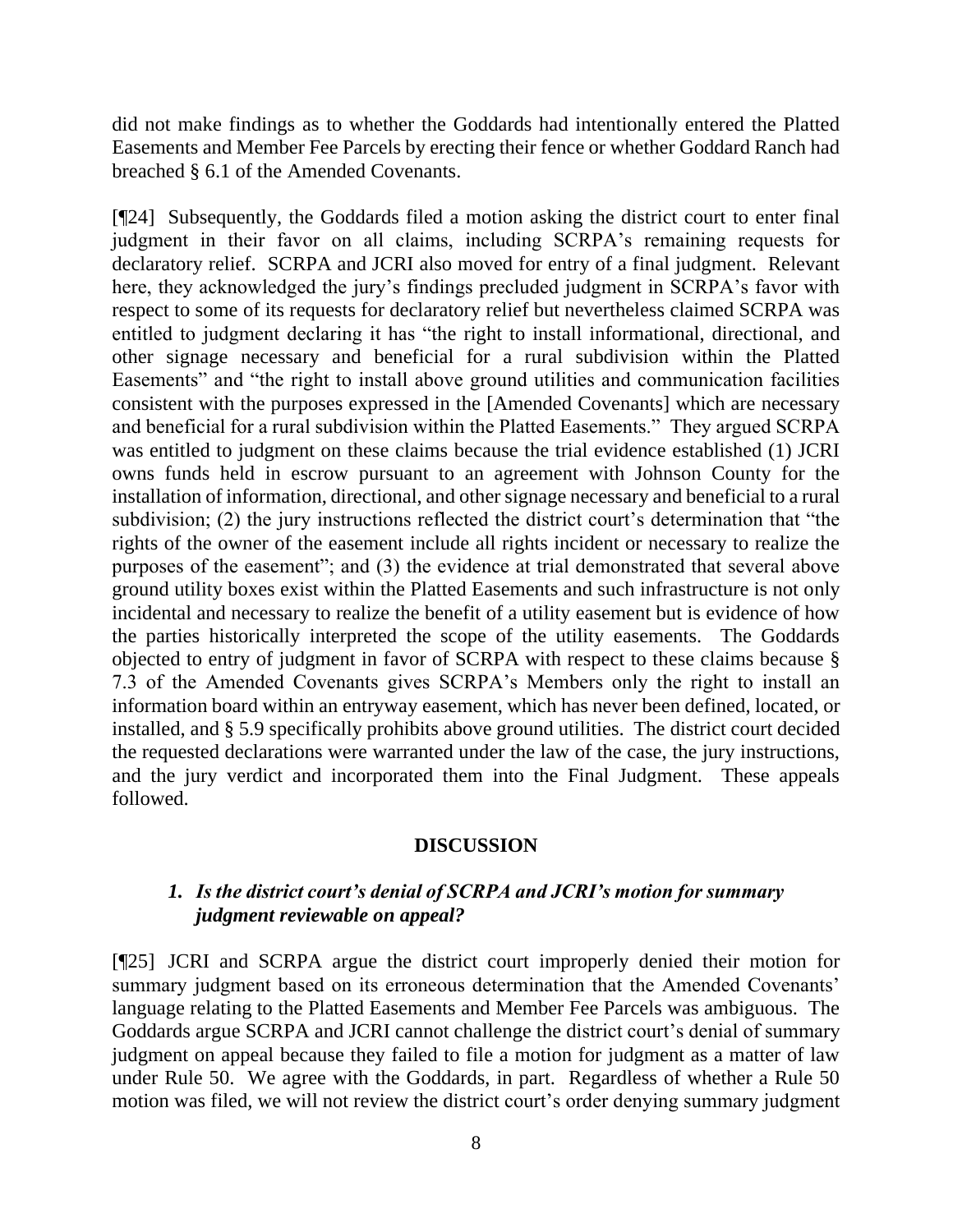did not make findings as to whether the Goddards had intentionally entered the Platted Easements and Member Fee Parcels by erecting their fence or whether Goddard Ranch had breached § 6.1 of the Amended Covenants.

[¶24] Subsequently, the Goddards filed a motion asking the district court to enter final judgment in their favor on all claims, including SCRPA's remaining requests for declaratory relief. SCRPA and JCRI also moved for entry of a final judgment. Relevant here, they acknowledged the jury's findings precluded judgment in SCRPA's favor with respect to some of its requests for declaratory relief but nevertheless claimed SCRPA was entitled to judgment declaring it has "the right to install informational, directional, and other signage necessary and beneficial for a rural subdivision within the Platted Easements" and "the right to install above ground utilities and communication facilities consistent with the purposes expressed in the [Amended Covenants] which are necessary and beneficial for a rural subdivision within the Platted Easements." They argued SCRPA was entitled to judgment on these claims because the trial evidence established (1) JCRI owns funds held in escrow pursuant to an agreement with Johnson County for the installation of information, directional, and other signage necessary and beneficial to a rural subdivision; (2) the jury instructions reflected the district court's determination that "the rights of the owner of the easement include all rights incident or necessary to realize the purposes of the easement"; and (3) the evidence at trial demonstrated that several above ground utility boxes exist within the Platted Easements and such infrastructure is not only incidental and necessary to realize the benefit of a utility easement but is evidence of how the parties historically interpreted the scope of the utility easements. The Goddards objected to entry of judgment in favor of SCRPA with respect to these claims because § 7.3 of the Amended Covenants gives SCRPA's Members only the right to install an information board within an entryway easement, which has never been defined, located, or installed, and § 5.9 specifically prohibits above ground utilities. The district court decided the requested declarations were warranted under the law of the case, the jury instructions, and the jury verdict and incorporated them into the Final Judgment. These appeals followed.

#### **DISCUSSION**

## *1. Is the district court's denial of SCRPA and JCRI's motion for summary judgment reviewable on appeal?*

[¶25] JCRI and SCRPA argue the district court improperly denied their motion for summary judgment based on its erroneous determination that the Amended Covenants' language relating to the Platted Easements and Member Fee Parcels was ambiguous. The Goddards argue SCRPA and JCRI cannot challenge the district court's denial of summary judgment on appeal because they failed to file a motion for judgment as a matter of law under Rule 50. We agree with the Goddards, in part. Regardless of whether a Rule 50 motion was filed, we will not review the district court's order denying summary judgment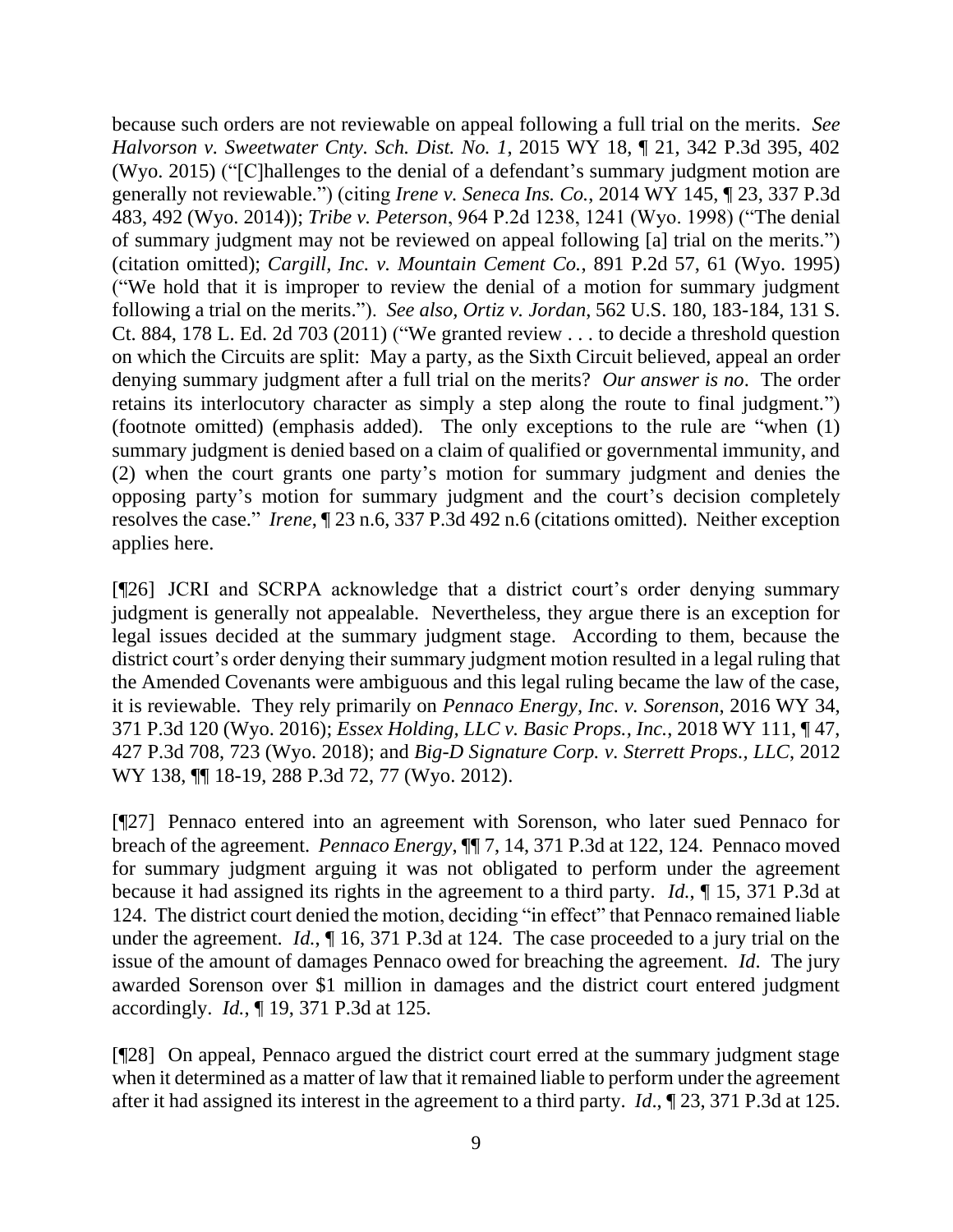because such orders are not reviewable on appeal following a full trial on the merits. *See Halvorson v. Sweetwater Cnty. Sch. Dist. No. 1*, 2015 WY 18, ¶ 21, 342 P.3d 395, 402 (Wyo. 2015) ("[C]hallenges to the denial of a defendant's summary judgment motion are generally not reviewable.") (citing *Irene v. Seneca Ins. Co.*, 2014 WY 145, ¶ 23, 337 P.3d 483, 492 (Wyo. 2014)); *Tribe v. Peterson*, 964 P.2d 1238, 1241 (Wyo. 1998) ("The denial of summary judgment may not be reviewed on appeal following [a] trial on the merits.") (citation omitted); *Cargill, Inc. v. Mountain Cement Co.*, 891 P.2d 57, 61 (Wyo. 1995) ("We hold that it is improper to review the denial of a motion for summary judgment following a trial on the merits."). *See also, Ortiz v. Jordan*, 562 U.S. 180, 183-184, 131 S. Ct. 884, 178 L. Ed. 2d 703 (2011) ("We granted review . . . to decide a threshold question on which the Circuits are split: May a party, as the Sixth Circuit believed, appeal an order denying summary judgment after a full trial on the merits? *Our answer is no*. The order retains its interlocutory character as simply a step along the route to final judgment.") (footnote omitted) (emphasis added). The only exceptions to the rule are "when (1) summary judgment is denied based on a claim of qualified or governmental immunity, and (2) when the court grants one party's motion for summary judgment and denies the opposing party's motion for summary judgment and the court's decision completely resolves the case." *Irene*, ¶ 23 n.6, 337 P.3d 492 n.6 (citations omitted). Neither exception applies here.

[¶26] JCRI and SCRPA acknowledge that a district court's order denying summary judgment is generally not appealable. Nevertheless, they argue there is an exception for legal issues decided at the summary judgment stage. According to them, because the district court's order denying their summary judgment motion resulted in a legal ruling that the Amended Covenants were ambiguous and this legal ruling became the law of the case, it is reviewable. They rely primarily on *Pennaco Energy, Inc. v. Sorenson*, 2016 WY 34, 371 P.3d 120 (Wyo. 2016); *Essex Holding, LLC v. Basic Props., Inc.*, 2018 WY 111, ¶ 47, 427 P.3d 708, 723 (Wyo. 2018); and *Big-D Signature Corp. v. Sterrett Props., LLC*, 2012 WY 138, ¶¶ 18-19, 288 P.3d 72, 77 (Wyo. 2012).

[¶27] Pennaco entered into an agreement with Sorenson, who later sued Pennaco for breach of the agreement. *Pennaco Energy*, ¶¶ 7, 14, 371 P.3d at 122, 124. Pennaco moved for summary judgment arguing it was not obligated to perform under the agreement because it had assigned its rights in the agreement to a third party. *Id.*, ¶ 15, 371 P.3d at 124. The district court denied the motion, deciding "in effect" that Pennaco remained liable under the agreement. *Id.*, ¶ 16, 371 P.3d at 124. The case proceeded to a jury trial on the issue of the amount of damages Pennaco owed for breaching the agreement. *Id*. The jury awarded Sorenson over \$1 million in damages and the district court entered judgment accordingly. *Id.*, ¶ 19, 371 P.3d at 125.

[¶28] On appeal, Pennaco argued the district court erred at the summary judgment stage when it determined as a matter of law that it remained liable to perform under the agreement after it had assigned its interest in the agreement to a third party. *Id*., ¶ 23, 371 P.3d at 125.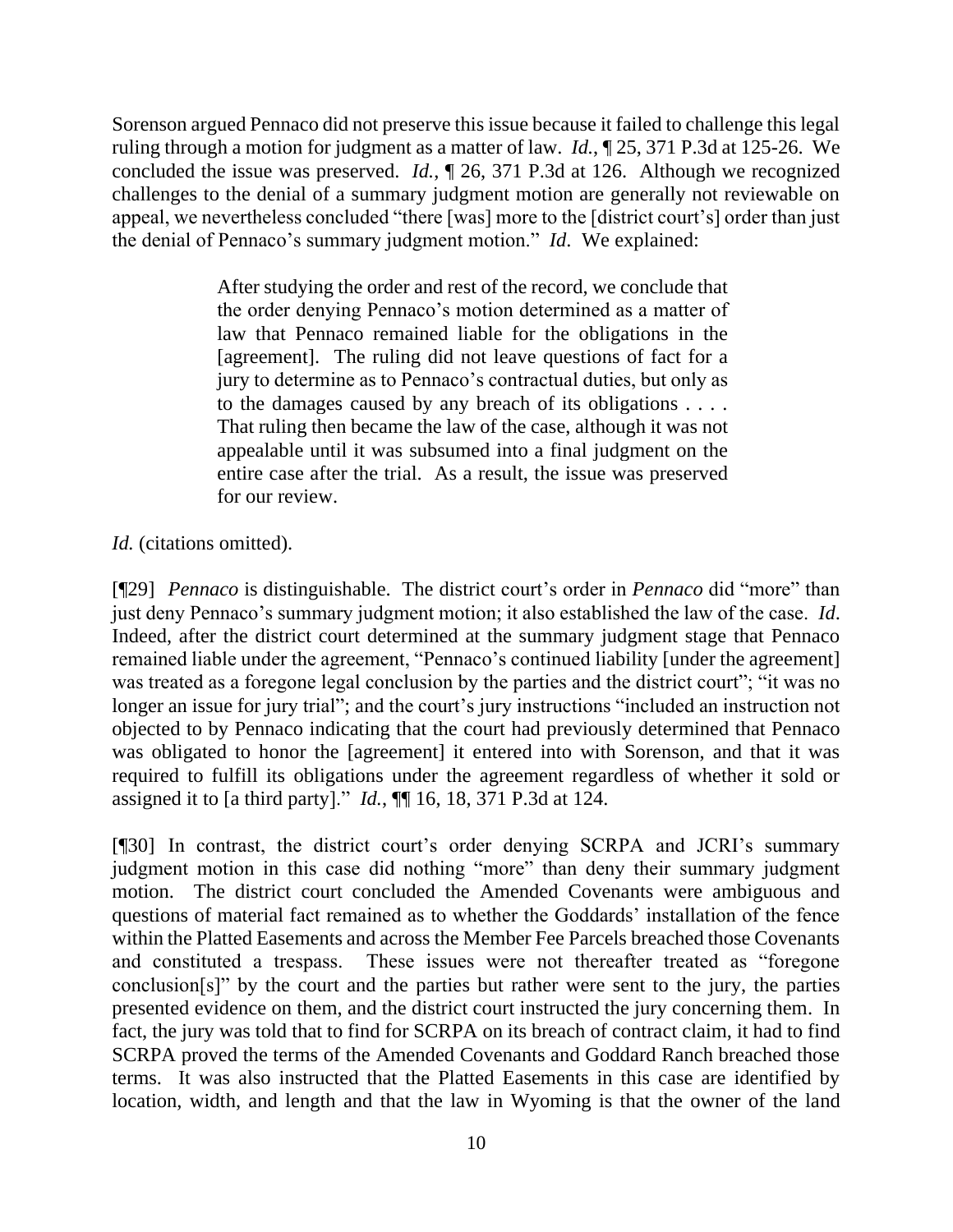Sorenson argued Pennaco did not preserve this issue because it failed to challenge this legal ruling through a motion for judgment as a matter of law. *Id.*, ¶ 25, 371 P.3d at 125-26. We concluded the issue was preserved. *Id.*, ¶ 26, 371 P.3d at 126. Although we recognized challenges to the denial of a summary judgment motion are generally not reviewable on appeal, we nevertheless concluded "there [was] more to the [district court's] order than just the denial of Pennaco's summary judgment motion." *Id*. We explained:

> After studying the order and rest of the record, we conclude that the order denying Pennaco's motion determined as a matter of law that Pennaco remained liable for the obligations in the [agreement]. The ruling did not leave questions of fact for a jury to determine as to Pennaco's contractual duties, but only as to the damages caused by any breach of its obligations . . . . That ruling then became the law of the case, although it was not appealable until it was subsumed into a final judgment on the entire case after the trial. As a result, the issue was preserved for our review.

*Id.* (citations omitted).

[¶29] *Pennaco* is distinguishable. The district court's order in *Pennaco* did "more" than just deny Pennaco's summary judgment motion; it also established the law of the case. *Id*. Indeed, after the district court determined at the summary judgment stage that Pennaco remained liable under the agreement, "Pennaco's continued liability [under the agreement] was treated as a foregone legal conclusion by the parties and the district court"; "it was no longer an issue for jury trial"; and the court's jury instructions "included an instruction not objected to by Pennaco indicating that the court had previously determined that Pennaco was obligated to honor the [agreement] it entered into with Sorenson, and that it was required to fulfill its obligations under the agreement regardless of whether it sold or assigned it to [a third party]." *Id.*, ¶¶ 16, 18, 371 P.3d at 124.

[¶30] In contrast, the district court's order denying SCRPA and JCRI's summary judgment motion in this case did nothing "more" than deny their summary judgment motion. The district court concluded the Amended Covenants were ambiguous and questions of material fact remained as to whether the Goddards' installation of the fence within the Platted Easements and across the Member Fee Parcels breached those Covenants and constituted a trespass. These issues were not thereafter treated as "foregone conclusion[s]" by the court and the parties but rather were sent to the jury, the parties presented evidence on them, and the district court instructed the jury concerning them. In fact, the jury was told that to find for SCRPA on its breach of contract claim, it had to find SCRPA proved the terms of the Amended Covenants and Goddard Ranch breached those terms. It was also instructed that the Platted Easements in this case are identified by location, width, and length and that the law in Wyoming is that the owner of the land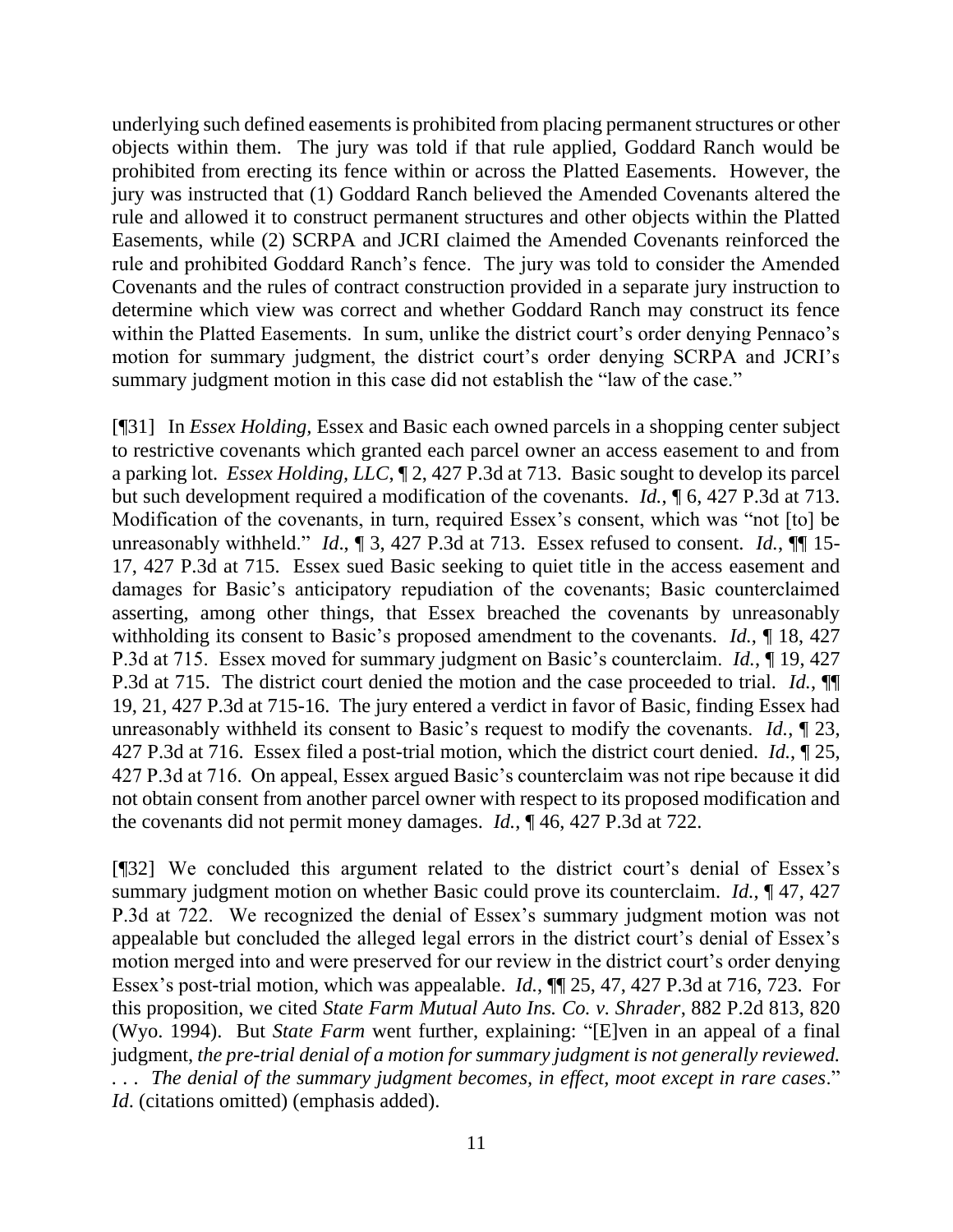underlying such defined easements is prohibited from placing permanent structures or other objects within them. The jury was told if that rule applied, Goddard Ranch would be prohibited from erecting its fence within or across the Platted Easements. However, the jury was instructed that (1) Goddard Ranch believed the Amended Covenants altered the rule and allowed it to construct permanent structures and other objects within the Platted Easements, while (2) SCRPA and JCRI claimed the Amended Covenants reinforced the rule and prohibited Goddard Ranch's fence. The jury was told to consider the Amended Covenants and the rules of contract construction provided in a separate jury instruction to determine which view was correct and whether Goddard Ranch may construct its fence within the Platted Easements. In sum, unlike the district court's order denying Pennaco's motion for summary judgment, the district court's order denying SCRPA and JCRI's summary judgment motion in this case did not establish the "law of the case."

[¶31] In *Essex Holding,* Essex and Basic each owned parcels in a shopping center subject to restrictive covenants which granted each parcel owner an access easement to and from a parking lot. *Essex Holding, LLC*, ¶ 2, 427 P.3d at 713. Basic sought to develop its parcel but such development required a modification of the covenants. *Id.*, ¶ 6, 427 P.3d at 713. Modification of the covenants, in turn, required Essex's consent, which was "not [to] be unreasonably withheld." *Id.*,  $\mathbb{I}$  3, 427 P.3d at 713. Essex refused to consent. *Id.*,  $\mathbb{I}$  15-17, 427 P.3d at 715. Essex sued Basic seeking to quiet title in the access easement and damages for Basic's anticipatory repudiation of the covenants; Basic counterclaimed asserting, among other things, that Essex breached the covenants by unreasonably withholding its consent to Basic's proposed amendment to the covenants. *Id.*, ¶ 18, 427 P.3d at 715. Essex moved for summary judgment on Basic's counterclaim. *Id.*, ¶ 19, 427 P.3d at 715. The district court denied the motion and the case proceeded to trial. *Id.*, ¶¶ 19, 21, 427 P.3d at 715-16. The jury entered a verdict in favor of Basic, finding Essex had unreasonably withheld its consent to Basic's request to modify the covenants. *Id.*, ¶ 23, 427 P.3d at 716. Essex filed a post-trial motion, which the district court denied. *Id.*, ¶ 25, 427 P.3d at 716. On appeal, Essex argued Basic's counterclaim was not ripe because it did not obtain consent from another parcel owner with respect to its proposed modification and the covenants did not permit money damages. *Id.*, ¶ 46, 427 P.3d at 722.

[¶32] We concluded this argument related to the district court's denial of Essex's summary judgment motion on whether Basic could prove its counterclaim. *Id.*, ¶ 47, 427 P.3d at 722. We recognized the denial of Essex's summary judgment motion was not appealable but concluded the alleged legal errors in the district court's denial of Essex's motion merged into and were preserved for our review in the district court's order denying Essex's post-trial motion, which was appealable. *Id.*, ¶¶ 25, 47, 427 P.3d at 716, 723. For this proposition, we cited *State Farm Mutual Auto Ins. Co. v. Shrader*, 882 P.2d 813, 820 (Wyo. 1994). But *State Farm* went further, explaining: "[E]ven in an appeal of a final judgment, *the pre-trial denial of a motion for summary judgment is not generally reviewed. . . . The denial of the summary judgment becomes, in effect, moot except in rare cases*." *Id.* (citations omitted) (emphasis added).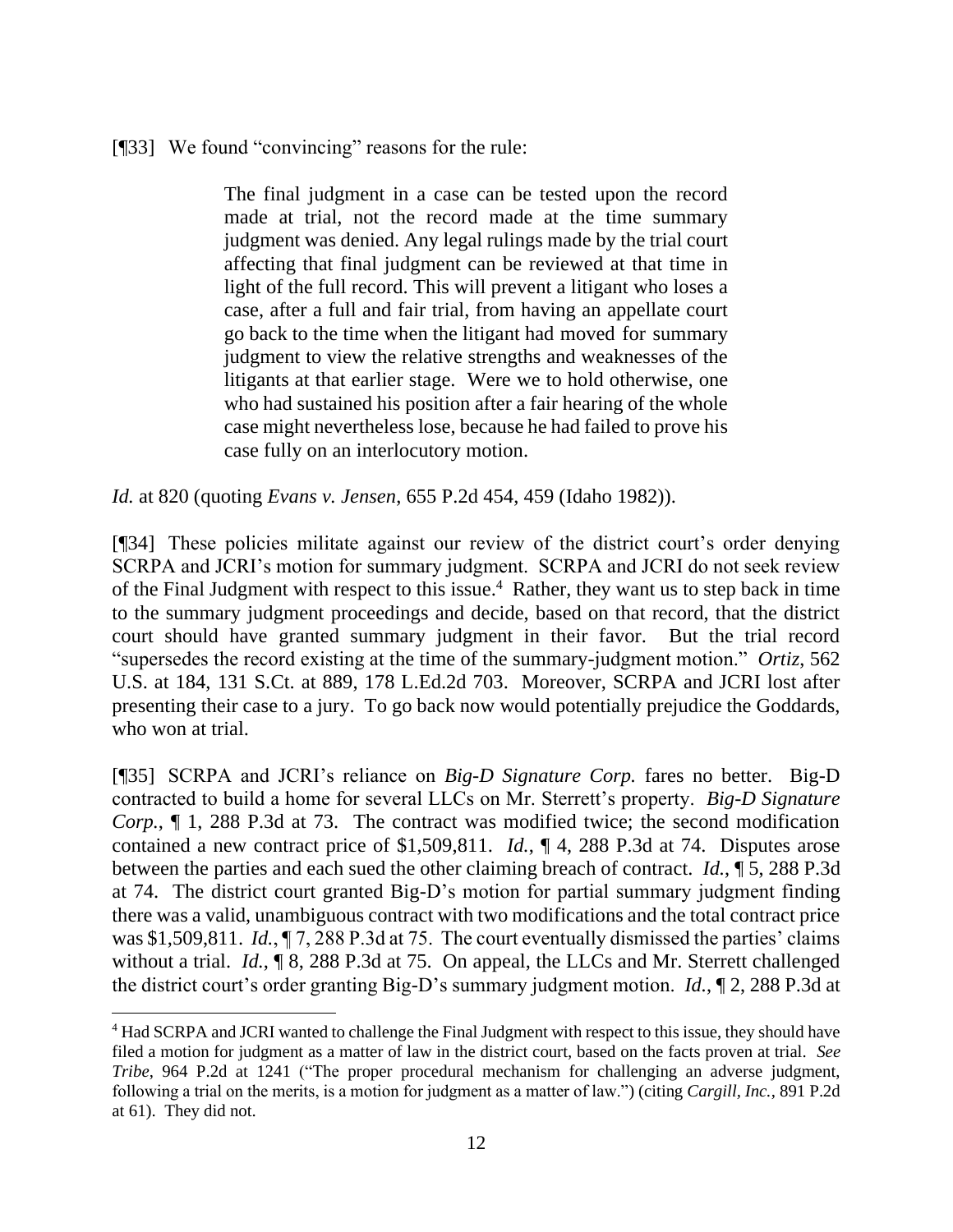#### [¶33] We found "convincing" reasons for the rule:

The final judgment in a case can be tested upon the record made at trial, not the record made at the time summary judgment was denied. Any legal rulings made by the trial court affecting that final judgment can be reviewed at that time in light of the full record. This will prevent a litigant who loses a case, after a full and fair trial, from having an appellate court go back to the time when the litigant had moved for summary judgment to view the relative strengths and weaknesses of the litigants at that earlier stage. Were we to hold otherwise, one who had sustained his position after a fair hearing of the whole case might nevertheless lose, because he had failed to prove his case fully on an interlocutory motion.

*Id.* at 820 (quoting *Evans v. Jensen*, 655 P.2d 454, 459 (Idaho 1982)).

[¶34] These policies militate against our review of the district court's order denying SCRPA and JCRI's motion for summary judgment. SCRPA and JCRI do not seek review of the Final Judgment with respect to this issue.<sup>4</sup> Rather, they want us to step back in time to the summary judgment proceedings and decide, based on that record, that the district court should have granted summary judgment in their favor. But the trial record "supersedes the record existing at the time of the summary-judgment motion." *Ortiz*, 562 U.S. at 184, 131 S.Ct. at 889, 178 L.Ed.2d 703. Moreover, SCRPA and JCRI lost after presenting their case to a jury. To go back now would potentially prejudice the Goddards, who won at trial.

[¶35] SCRPA and JCRI's reliance on *Big-D Signature Corp.* fares no better. Big-D contracted to build a home for several LLCs on Mr. Sterrett's property. *Big-D Signature Corp.*, ¶ 1, 288 P.3d at 73. The contract was modified twice; the second modification contained a new contract price of \$1,509,811. *Id.*, ¶ 4, 288 P.3d at 74. Disputes arose between the parties and each sued the other claiming breach of contract. *Id.*, ¶ 5, 288 P.3d at 74. The district court granted Big-D's motion for partial summary judgment finding there was a valid, unambiguous contract with two modifications and the total contract price was \$1,509,811. *Id.*, ¶ 7, 288 P.3d at 75. The court eventually dismissed the parties' claims without a trial. *Id.*, ¶ 8, 288 P.3d at 75. On appeal, the LLCs and Mr. Sterrett challenged the district court's order granting Big-D's summary judgment motion. *Id.*, ¶ 2, 288 P.3d at

<sup>4</sup> Had SCRPA and JCRI wanted to challenge the Final Judgment with respect to this issue, they should have filed a motion for judgment as a matter of law in the district court, based on the facts proven at trial. *See Tribe*, 964 P.2d at 1241 ("The proper procedural mechanism for challenging an adverse judgment, following a trial on the merits, is a motion for judgment as a matter of law.") (citing *Cargill, Inc.*, 891 P.2d at 61). They did not.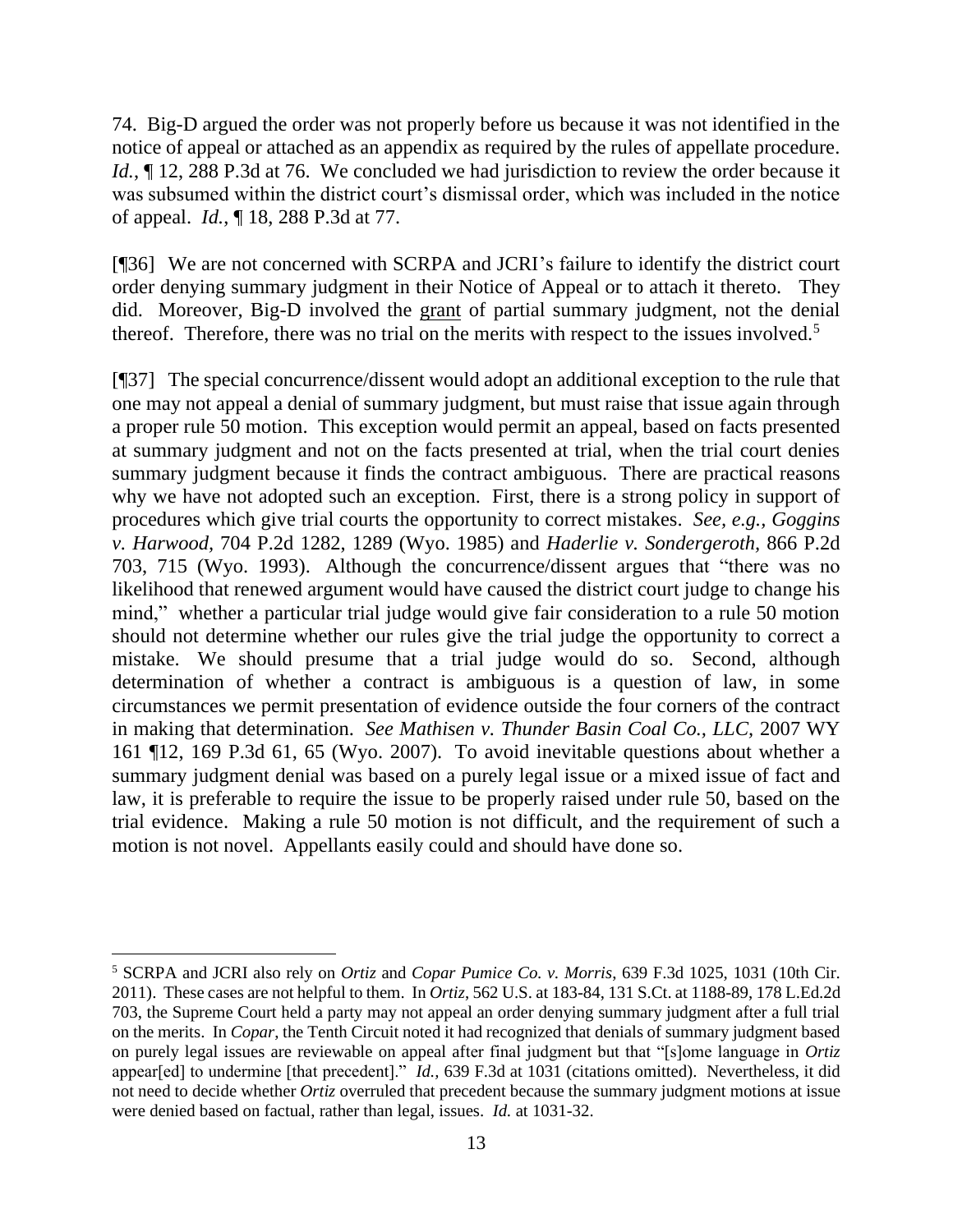74. Big-D argued the order was not properly before us because it was not identified in the notice of appeal or attached as an appendix as required by the rules of appellate procedure. *Id.*,  $\llbracket$  12, 288 P.3d at 76. We concluded we had jurisdiction to review the order because it was subsumed within the district court's dismissal order, which was included in the notice of appeal. *Id.*, ¶ 18, 288 P.3d at 77.

[¶36] We are not concerned with SCRPA and JCRI's failure to identify the district court order denying summary judgment in their Notice of Appeal or to attach it thereto. They did. Moreover, Big-D involved the grant of partial summary judgment, not the denial thereof. Therefore, there was no trial on the merits with respect to the issues involved.<sup>5</sup>

[¶37] The special concurrence/dissent would adopt an additional exception to the rule that one may not appeal a denial of summary judgment, but must raise that issue again through a proper rule 50 motion. This exception would permit an appeal, based on facts presented at summary judgment and not on the facts presented at trial, when the trial court denies summary judgment because it finds the contract ambiguous. There are practical reasons why we have not adopted such an exception. First, there is a strong policy in support of procedures which give trial courts the opportunity to correct mistakes. *See, e.g., Goggins v. Harwood,* 704 P.2d 1282, 1289 (Wyo. 1985) and *Haderlie v. Sondergeroth,* 866 P.2d 703, 715 (Wyo. 1993). Although the concurrence/dissent argues that "there was no likelihood that renewed argument would have caused the district court judge to change his mind," whether a particular trial judge would give fair consideration to a rule 50 motion should not determine whether our rules give the trial judge the opportunity to correct a mistake. We should presume that a trial judge would do so. Second, although determination of whether a contract is ambiguous is a question of law, in some circumstances we permit presentation of evidence outside the four corners of the contract in making that determination. *See Mathisen v. Thunder Basin Coal Co., LLC,* 2007 WY 161 ¶12, 169 P.3d 61, 65 (Wyo. 2007). To avoid inevitable questions about whether a summary judgment denial was based on a purely legal issue or a mixed issue of fact and law, it is preferable to require the issue to be properly raised under rule 50, based on the trial evidence. Making a rule 50 motion is not difficult, and the requirement of such a motion is not novel. Appellants easily could and should have done so.

<sup>5</sup> SCRPA and JCRI also rely on *Ortiz* and *Copar Pumice Co. v. Morris*, 639 F.3d 1025, 1031 (10th Cir. 2011). These cases are not helpful to them. In *Ortiz*, 562 U.S. at 183-84, 131 S.Ct. at 1188-89, 178 L.Ed.2d 703, the Supreme Court held a party may not appeal an order denying summary judgment after a full trial on the merits. In *Copar*, the Tenth Circuit noted it had recognized that denials of summary judgment based on purely legal issues are reviewable on appeal after final judgment but that "[s]ome language in *Ortiz* appear[ed] to undermine [that precedent]." *Id.,* 639 F.3d at 1031 (citations omitted). Nevertheless, it did not need to decide whether *Ortiz* overruled that precedent because the summary judgment motions at issue were denied based on factual, rather than legal, issues. *Id.* at 1031-32.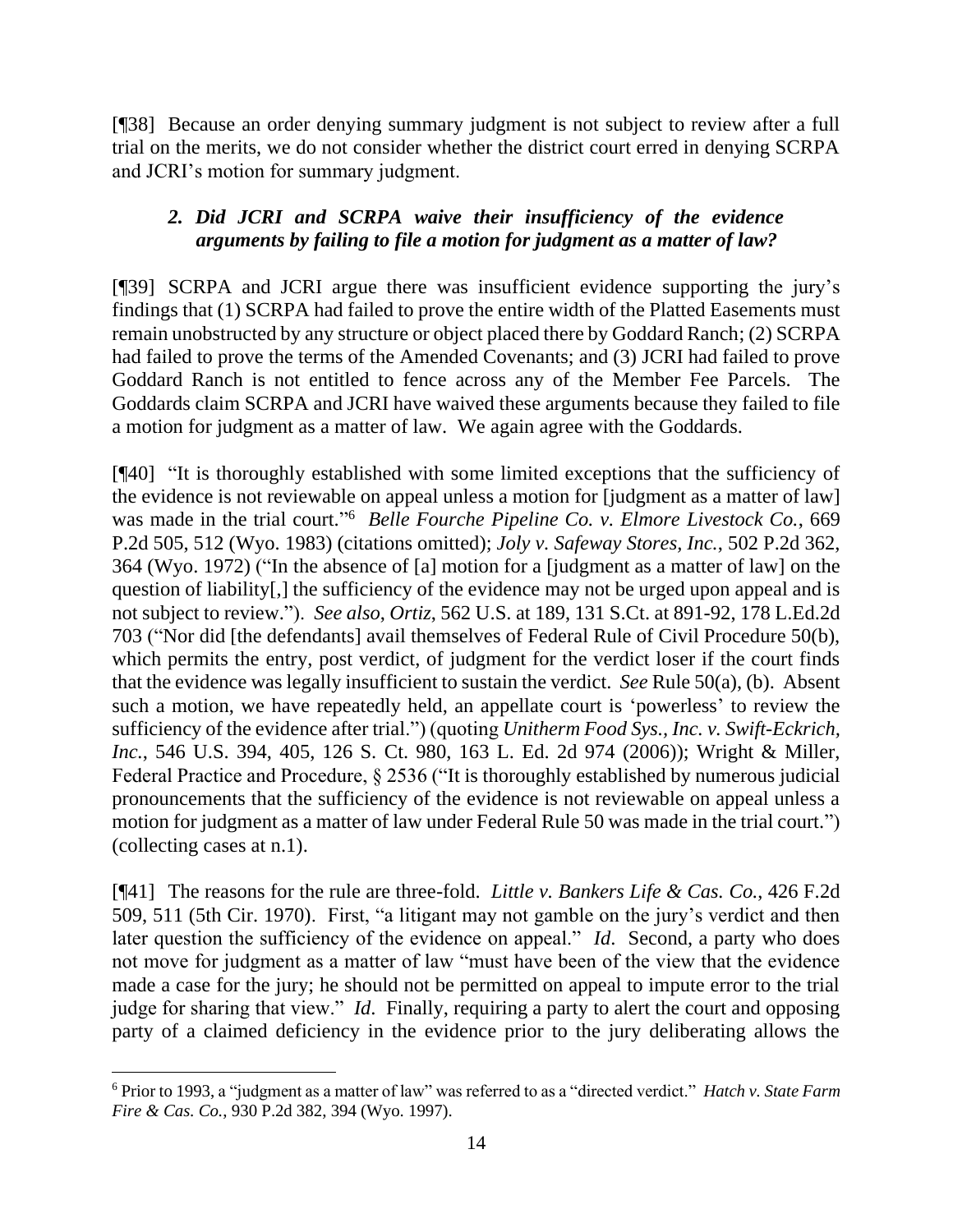[¶38] Because an order denying summary judgment is not subject to review after a full trial on the merits, we do not consider whether the district court erred in denying SCRPA and JCRI's motion for summary judgment.

## *2. Did JCRI and SCRPA waive their insufficiency of the evidence arguments by failing to file a motion for judgment as a matter of law?*

[¶39] SCRPA and JCRI argue there was insufficient evidence supporting the jury's findings that (1) SCRPA had failed to prove the entire width of the Platted Easements must remain unobstructed by any structure or object placed there by Goddard Ranch; (2) SCRPA had failed to prove the terms of the Amended Covenants; and (3) JCRI had failed to prove Goddard Ranch is not entitled to fence across any of the Member Fee Parcels. The Goddards claim SCRPA and JCRI have waived these arguments because they failed to file a motion for judgment as a matter of law. We again agree with the Goddards.

[¶40] "It is thoroughly established with some limited exceptions that the sufficiency of the evidence is not reviewable on appeal unless a motion for [judgment as a matter of law] was made in the trial court."<sup>6</sup> Belle Fourche Pipeline Co. v. Elmore Livestock Co., 669 P.2d 505, 512 (Wyo. 1983) (citations omitted); *Joly v. Safeway Stores, Inc.*, 502 P.2d 362, 364 (Wyo. 1972) ("In the absence of [a] motion for a [judgment as a matter of law] on the question of liability[,] the sufficiency of the evidence may not be urged upon appeal and is not subject to review."). *See also*, *Ortiz*, 562 U.S. at 189, 131 S.Ct. at 891-92, 178 L.Ed.2d 703 ("Nor did [the defendants] avail themselves of Federal Rule of Civil Procedure 50(b), which permits the entry, post verdict, of judgment for the verdict loser if the court finds that the evidence was legally insufficient to sustain the verdict. *See* Rule 50(a), (b). Absent such a motion, we have repeatedly held, an appellate court is 'powerless' to review the sufficiency of the evidence after trial.") (quoting *Unitherm Food Sys., Inc. v. Swift-Eckrich, Inc.*, 546 U.S. 394, 405, 126 S. Ct. 980, 163 L. Ed. 2d 974 (2006)); Wright & Miller, Federal Practice and Procedure, § 2536 ("It is thoroughly established by numerous judicial pronouncements that the sufficiency of the evidence is not reviewable on appeal unless a motion for judgment as a matter of law under Federal Rule 50 was made in the trial court.") (collecting cases at n.1).

[¶41] The reasons for the rule are three-fold. *Little v. Bankers Life & Cas. Co.*, 426 F.2d 509, 511 (5th Cir. 1970). First, "a litigant may not gamble on the jury's verdict and then later question the sufficiency of the evidence on appeal." *Id*. Second, a party who does not move for judgment as a matter of law "must have been of the view that the evidence made a case for the jury; he should not be permitted on appeal to impute error to the trial judge for sharing that view." *Id*. Finally, requiring a party to alert the court and opposing party of a claimed deficiency in the evidence prior to the jury deliberating allows the

<sup>6</sup> Prior to 1993, a "judgment as a matter of law" was referred to as a "directed verdict." *Hatch v. State Farm Fire & Cas. Co.*, 930 P.2d 382, 394 (Wyo. 1997).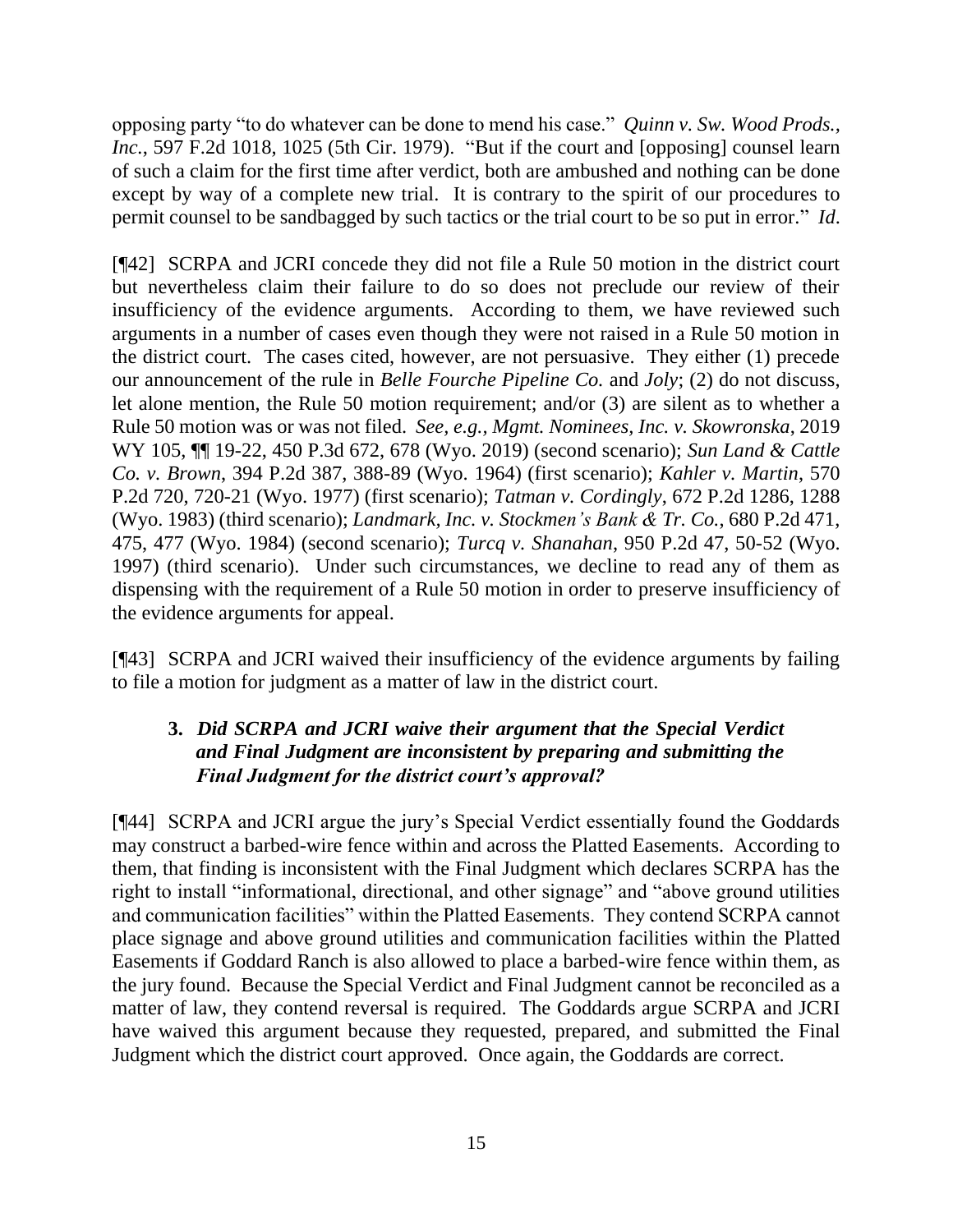opposing party "to do whatever can be done to mend his case." *Quinn v. Sw. Wood Prods., Inc.*, 597 F.2d 1018, 1025 (5th Cir. 1979). "But if the court and [opposing] counsel learn of such a claim for the first time after verdict, both are ambushed and nothing can be done except by way of a complete new trial. It is contrary to the spirit of our procedures to permit counsel to be sandbagged by such tactics or the trial court to be so put in error." *Id*.

[¶42] SCRPA and JCRI concede they did not file a Rule 50 motion in the district court but nevertheless claim their failure to do so does not preclude our review of their insufficiency of the evidence arguments. According to them, we have reviewed such arguments in a number of cases even though they were not raised in a Rule 50 motion in the district court. The cases cited, however, are not persuasive. They either (1) precede our announcement of the rule in *Belle Fourche Pipeline Co.* and *Joly*; (2) do not discuss, let alone mention, the Rule 50 motion requirement; and/or (3) are silent as to whether a Rule 50 motion was or was not filed. *See, e.g., Mgmt. Nominees, Inc. v. Skowronska*, 2019 WY 105, ¶¶ 19-22, 450 P.3d 672, 678 (Wyo. 2019) (second scenario); *Sun Land & Cattle Co. v. Brown*, 394 P.2d 387, 388-89 (Wyo. 1964) (first scenario); *Kahler v. Martin*, 570 P.2d 720, 720-21 (Wyo. 1977) (first scenario); *Tatman v. Cordingly*, 672 P.2d 1286, 1288 (Wyo. 1983) (third scenario); *Landmark, Inc. v. Stockmen's Bank & Tr. Co.*, 680 P.2d 471, 475, 477 (Wyo. 1984) (second scenario); *Turcq v. Shanahan*, 950 P.2d 47, 50-52 (Wyo. 1997) (third scenario). Under such circumstances, we decline to read any of them as dispensing with the requirement of a Rule 50 motion in order to preserve insufficiency of the evidence arguments for appeal.

[¶43] SCRPA and JCRI waived their insufficiency of the evidence arguments by failing to file a motion for judgment as a matter of law in the district court.

# **3.** *Did SCRPA and JCRI waive their argument that the Special Verdict and Final Judgment are inconsistent by preparing and submitting the Final Judgment for the district court's approval?*

[¶44] SCRPA and JCRI argue the jury's Special Verdict essentially found the Goddards may construct a barbed-wire fence within and across the Platted Easements. According to them, that finding is inconsistent with the Final Judgment which declares SCRPA has the right to install "informational, directional, and other signage" and "above ground utilities and communication facilities" within the Platted Easements. They contend SCRPA cannot place signage and above ground utilities and communication facilities within the Platted Easements if Goddard Ranch is also allowed to place a barbed-wire fence within them, as the jury found. Because the Special Verdict and Final Judgment cannot be reconciled as a matter of law, they contend reversal is required. The Goddards argue SCRPA and JCRI have waived this argument because they requested, prepared, and submitted the Final Judgment which the district court approved. Once again, the Goddards are correct.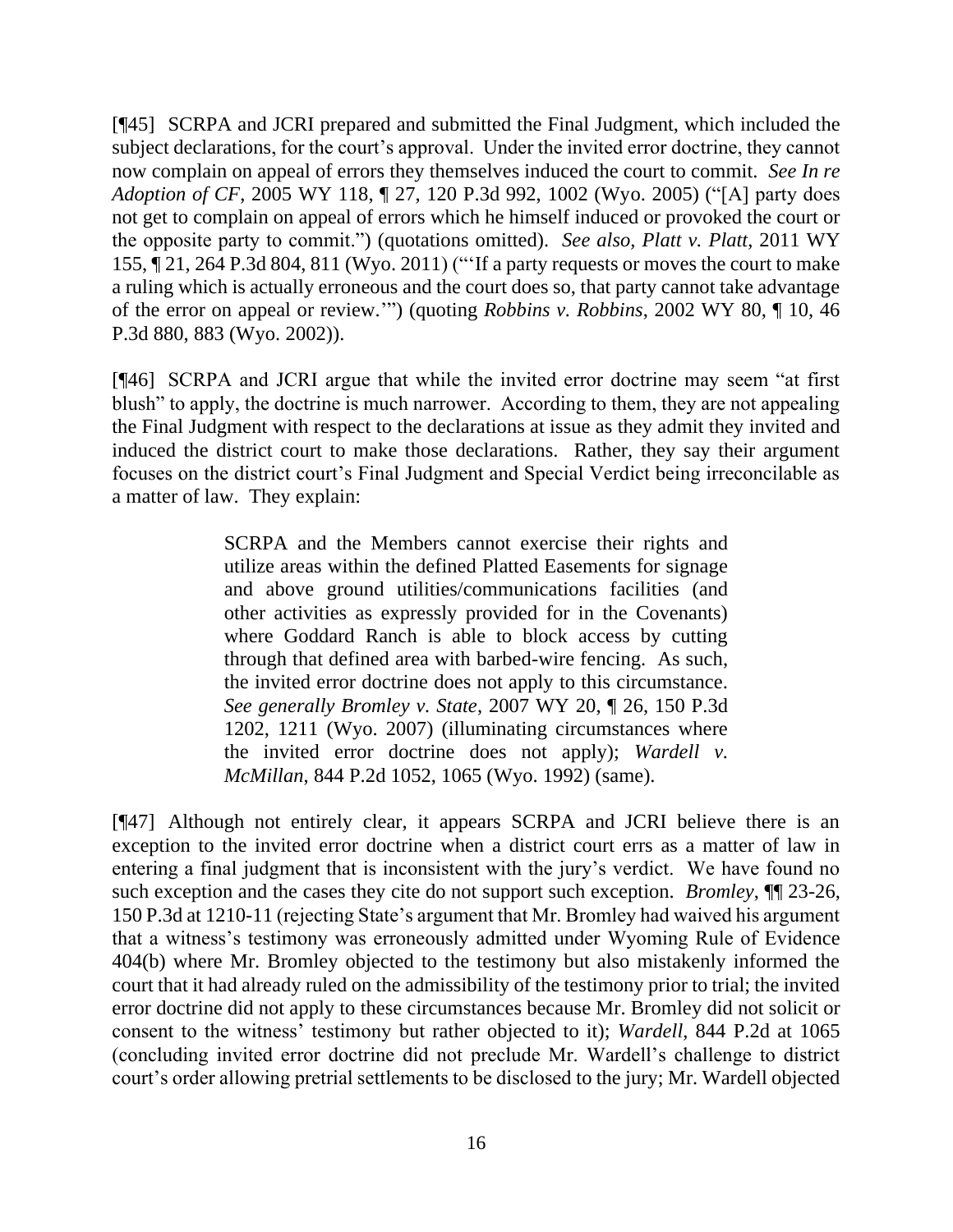[¶45] SCRPA and JCRI prepared and submitted the Final Judgment, which included the subject declarations, for the court's approval. Under the invited error doctrine, they cannot now complain on appeal of errors they themselves induced the court to commit. *See In re Adoption of CF*, 2005 WY 118, ¶ 27, 120 P.3d 992, 1002 (Wyo. 2005) ("[A] party does not get to complain on appeal of errors which he himself induced or provoked the court or the opposite party to commit.") (quotations omitted). *See also, Platt v. Platt*, 2011 WY 155, ¶ 21, 264 P.3d 804, 811 (Wyo. 2011) ("'If a party requests or moves the court to make a ruling which is actually erroneous and the court does so, that party cannot take advantage of the error on appeal or review.'") (quoting *Robbins v. Robbins*, 2002 WY 80, ¶ 10, 46 P.3d 880, 883 (Wyo. 2002)).

[¶46] SCRPA and JCRI argue that while the invited error doctrine may seem "at first blush" to apply, the doctrine is much narrower. According to them, they are not appealing the Final Judgment with respect to the declarations at issue as they admit they invited and induced the district court to make those declarations. Rather, they say their argument focuses on the district court's Final Judgment and Special Verdict being irreconcilable as a matter of law. They explain:

> SCRPA and the Members cannot exercise their rights and utilize areas within the defined Platted Easements for signage and above ground utilities/communications facilities (and other activities as expressly provided for in the Covenants) where Goddard Ranch is able to block access by cutting through that defined area with barbed-wire fencing. As such, the invited error doctrine does not apply to this circumstance. *See generally Bromley v. State*, 2007 WY 20, ¶ 26, 150 P.3d 1202, 1211 (Wyo. 2007) (illuminating circumstances where the invited error doctrine does not apply); *Wardell v. McMillan*, 844 P.2d 1052, 1065 (Wyo. 1992) (same).

[¶47] Although not entirely clear, it appears SCRPA and JCRI believe there is an exception to the invited error doctrine when a district court errs as a matter of law in entering a final judgment that is inconsistent with the jury's verdict. We have found no such exception and the cases they cite do not support such exception. *Bromley*, ¶¶ 23-26, 150 P.3d at 1210-11 (rejecting State's argument that Mr. Bromley had waived his argument that a witness's testimony was erroneously admitted under Wyoming Rule of Evidence 404(b) where Mr. Bromley objected to the testimony but also mistakenly informed the court that it had already ruled on the admissibility of the testimony prior to trial; the invited error doctrine did not apply to these circumstances because Mr. Bromley did not solicit or consent to the witness' testimony but rather objected to it); *Wardell*, 844 P.2d at 1065 (concluding invited error doctrine did not preclude Mr. Wardell's challenge to district court's order allowing pretrial settlements to be disclosed to the jury; Mr. Wardell objected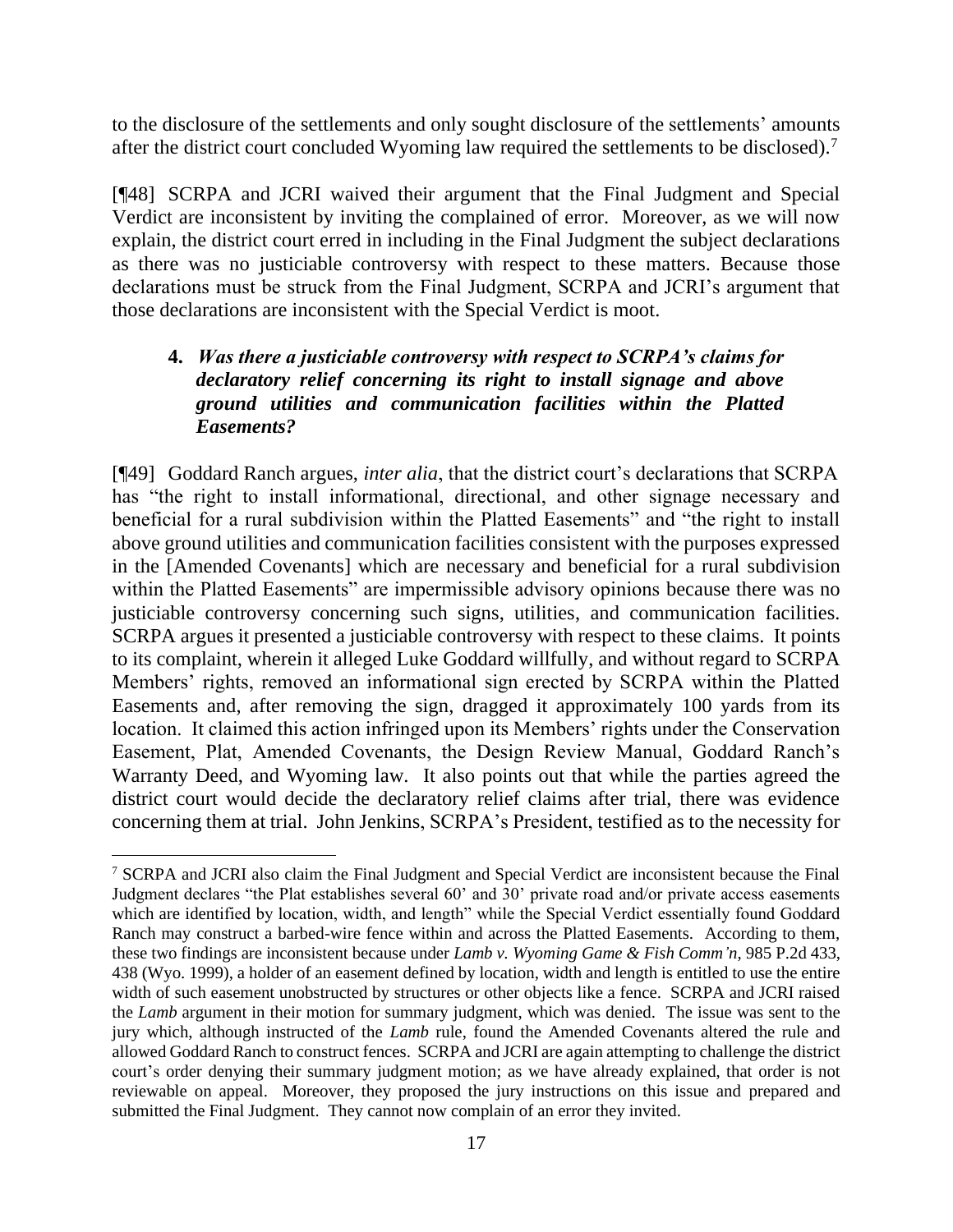to the disclosure of the settlements and only sought disclosure of the settlements' amounts after the district court concluded Wyoming law required the settlements to be disclosed).<sup>7</sup>

[¶48] SCRPA and JCRI waived their argument that the Final Judgment and Special Verdict are inconsistent by inviting the complained of error. Moreover, as we will now explain, the district court erred in including in the Final Judgment the subject declarations as there was no justiciable controversy with respect to these matters. Because those declarations must be struck from the Final Judgment, SCRPA and JCRI's argument that those declarations are inconsistent with the Special Verdict is moot.

## **4.** *Was there a justiciable controversy with respect to SCRPA's claims for declaratory relief concerning its right to install signage and above ground utilities and communication facilities within the Platted Easements?*

[¶49] Goddard Ranch argues, *inter alia*, that the district court's declarations that SCRPA has "the right to install informational, directional, and other signage necessary and beneficial for a rural subdivision within the Platted Easements" and "the right to install above ground utilities and communication facilities consistent with the purposes expressed in the [Amended Covenants] which are necessary and beneficial for a rural subdivision within the Platted Easements" are impermissible advisory opinions because there was no justiciable controversy concerning such signs, utilities, and communication facilities. SCRPA argues it presented a justiciable controversy with respect to these claims. It points to its complaint, wherein it alleged Luke Goddard willfully, and without regard to SCRPA Members' rights, removed an informational sign erected by SCRPA within the Platted Easements and, after removing the sign, dragged it approximately 100 yards from its location. It claimed this action infringed upon its Members' rights under the Conservation Easement, Plat, Amended Covenants, the Design Review Manual, Goddard Ranch's Warranty Deed, and Wyoming law. It also points out that while the parties agreed the district court would decide the declaratory relief claims after trial, there was evidence concerning them at trial. John Jenkins, SCRPA's President, testified as to the necessity for

<sup>7</sup> SCRPA and JCRI also claim the Final Judgment and Special Verdict are inconsistent because the Final Judgment declares "the Plat establishes several 60' and 30' private road and/or private access easements which are identified by location, width, and length" while the Special Verdict essentially found Goddard Ranch may construct a barbed-wire fence within and across the Platted Easements. According to them, these two findings are inconsistent because under *Lamb v. Wyoming Game & Fish Comm'n*, 985 P.2d 433, 438 (Wyo. 1999), a holder of an easement defined by location, width and length is entitled to use the entire width of such easement unobstructed by structures or other objects like a fence. SCRPA and JCRI raised the *Lamb* argument in their motion for summary judgment, which was denied. The issue was sent to the jury which, although instructed of the *Lamb* rule, found the Amended Covenants altered the rule and allowed Goddard Ranch to construct fences. SCRPA and JCRI are again attempting to challenge the district court's order denying their summary judgment motion; as we have already explained, that order is not reviewable on appeal. Moreover, they proposed the jury instructions on this issue and prepared and submitted the Final Judgment. They cannot now complain of an error they invited.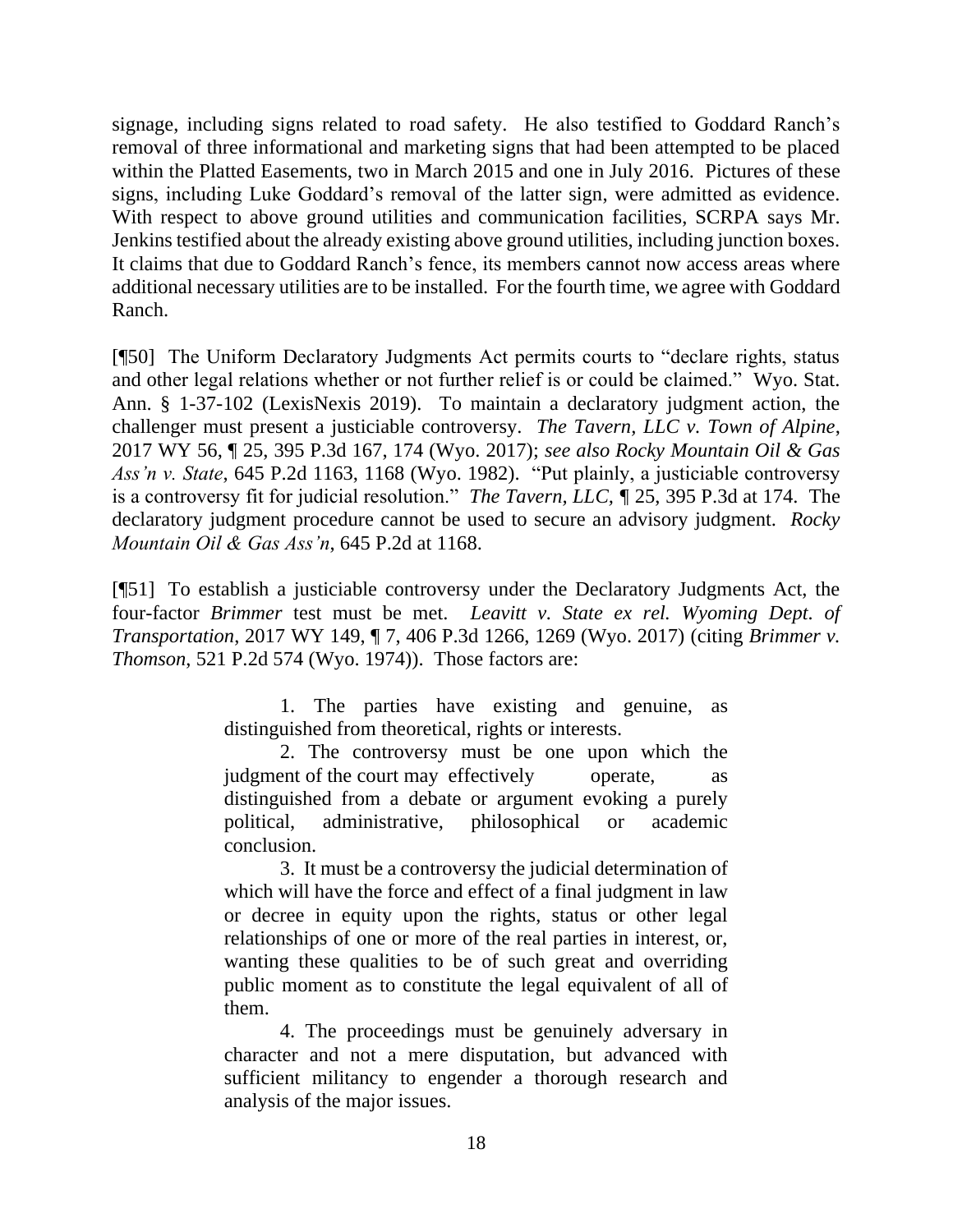signage, including signs related to road safety. He also testified to Goddard Ranch's removal of three informational and marketing signs that had been attempted to be placed within the Platted Easements, two in March 2015 and one in July 2016. Pictures of these signs, including Luke Goddard's removal of the latter sign, were admitted as evidence. With respect to above ground utilities and communication facilities, SCRPA says Mr. Jenkins testified about the already existing above ground utilities, including junction boxes. It claims that due to Goddard Ranch's fence, its members cannot now access areas where additional necessary utilities are to be installed. For the fourth time, we agree with Goddard Ranch.

[¶50] The Uniform Declaratory Judgments Act permits courts to "declare rights, status and other legal relations whether or not further relief is or could be claimed." Wyo. Stat. Ann. § 1-37-102 (LexisNexis 2019). To maintain a declaratory judgment action, the challenger must present a justiciable controversy. *The Tavern, LLC v. Town of Alpine*, 2017 WY 56, ¶ 25, 395 P.3d 167, 174 (Wyo. 2017); *see also Rocky Mountain Oil & Gas Ass'n v. State*, 645 P.2d 1163, 1168 (Wyo. 1982). "Put plainly, a justiciable controversy is a controversy fit for judicial resolution." *The Tavern, LLC, ¶* 25, 395 P.3d at 174. The declaratory judgment procedure cannot be used to secure an advisory judgment. *Rocky Mountain Oil & Gas Ass'n*, 645 P.2d at 1168.

[¶51] To establish a justiciable controversy under the Declaratory Judgments Act, the four-factor *Brimmer* test must be met. *Leavitt v. State ex rel. Wyoming Dept. of Transportation*, 2017 WY 149, ¶ 7, 406 P.3d 1266, 1269 (Wyo. 2017) (citing *Brimmer v. Thomson*, 521 P.2d 574 (Wyo. 1974)). Those factors are:

> 1. The parties have existing and genuine, as distinguished from theoretical, rights or interests.

> 2. The controversy must be one upon which the judgment of the court may effectively operate, distinguished from a debate or argument evoking a purely political, administrative, philosophical or academic conclusion.

> 3. It must be a controversy the judicial determination of which will have the force and effect of a final judgment in law or decree in equity upon the rights, status or other legal relationships of one or more of the real parties in interest, or, wanting these qualities to be of such great and overriding public moment as to constitute the legal equivalent of all of them.

> 4. The proceedings must be genuinely adversary in character and not a mere disputation, but advanced with sufficient militancy to engender a thorough research and analysis of the major issues.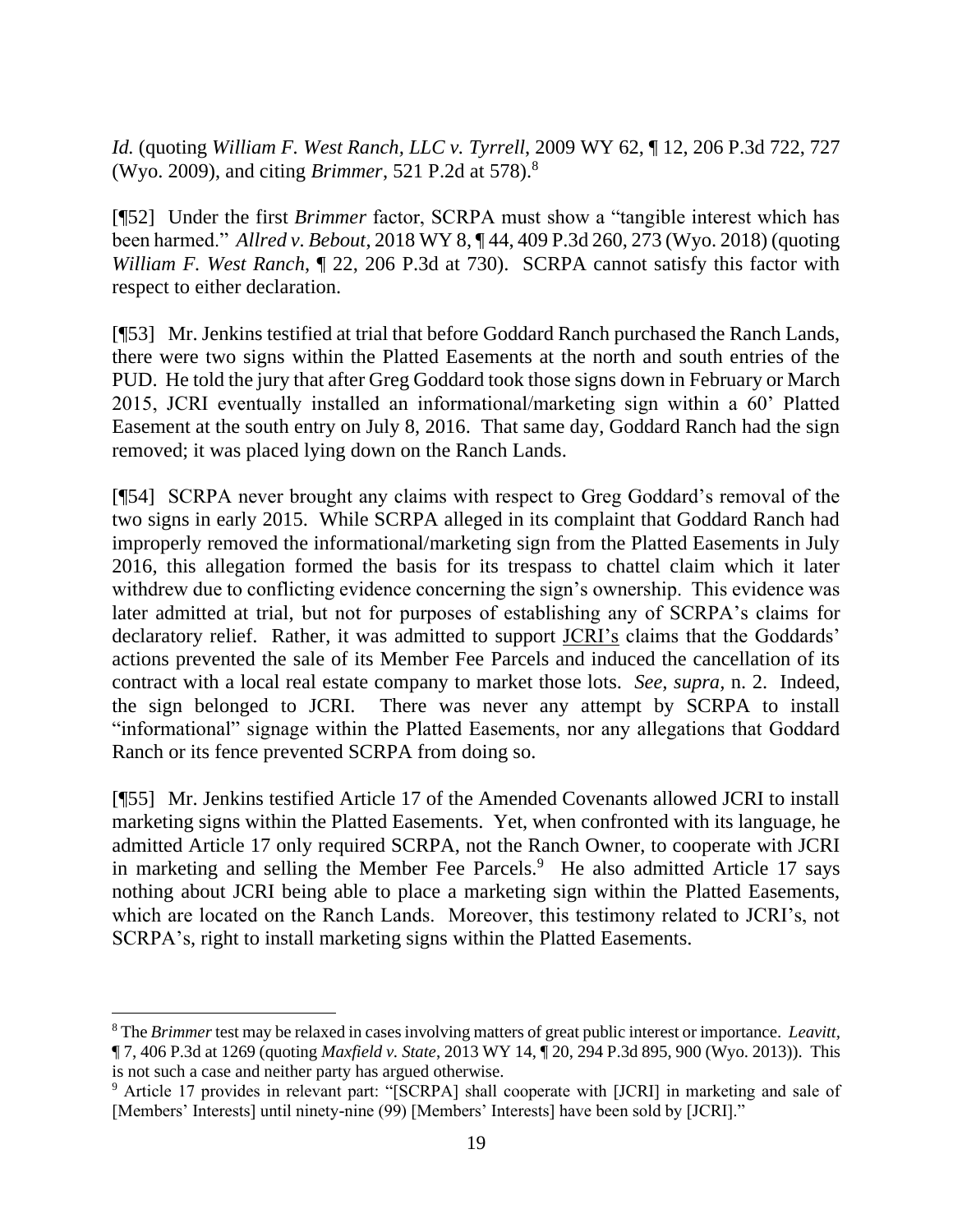*Id.* (quoting *William F. West Ranch, LLC v. Tyrrell*, 2009 WY 62, ¶ 12, 206 P.3d 722, 727 (Wyo. 2009), and citing *Brimmer*, 521 P.2d at 578). 8

[¶52] Under the first *Brimmer* factor, SCRPA must show a "tangible interest which has been harmed." *Allred v. Bebout*, 2018 WY 8, ¶ 44, 409 P.3d 260, 273 (Wyo. 2018) (quoting *William F. West Ranch*, ¶ 22, 206 P.3d at 730). SCRPA cannot satisfy this factor with respect to either declaration.

[¶53] Mr. Jenkins testified at trial that before Goddard Ranch purchased the Ranch Lands, there were two signs within the Platted Easements at the north and south entries of the PUD. He told the jury that after Greg Goddard took those signs down in February or March 2015, JCRI eventually installed an informational/marketing sign within a 60' Platted Easement at the south entry on July 8, 2016. That same day, Goddard Ranch had the sign removed; it was placed lying down on the Ranch Lands.

[¶54] SCRPA never brought any claims with respect to Greg Goddard's removal of the two signs in early 2015. While SCRPA alleged in its complaint that Goddard Ranch had improperly removed the informational/marketing sign from the Platted Easements in July 2016, this allegation formed the basis for its trespass to chattel claim which it later withdrew due to conflicting evidence concerning the sign's ownership. This evidence was later admitted at trial, but not for purposes of establishing any of SCRPA's claims for declaratory relief. Rather, it was admitted to support JCRI's claims that the Goddards' actions prevented the sale of its Member Fee Parcels and induced the cancellation of its contract with a local real estate company to market those lots. *See, supra,* n. 2. Indeed, the sign belonged to JCRI. There was never any attempt by SCRPA to install "informational" signage within the Platted Easements, nor any allegations that Goddard Ranch or its fence prevented SCRPA from doing so.

[¶55] Mr. Jenkins testified Article 17 of the Amended Covenants allowed JCRI to install marketing signs within the Platted Easements. Yet, when confronted with its language, he admitted Article 17 only required SCRPA, not the Ranch Owner, to cooperate with JCRI in marketing and selling the Member Fee Parcels.<sup>9</sup> He also admitted Article 17 says nothing about JCRI being able to place a marketing sign within the Platted Easements, which are located on the Ranch Lands. Moreover, this testimony related to JCRI's, not SCRPA's, right to install marketing signs within the Platted Easements.

<sup>8</sup> The *Brimmer* test may be relaxed in cases involving matters of great public interest or importance. *Leavitt,* ¶ 7, 406 P.3d at 1269 (quoting *Maxfield v. State*, 2013 WY 14, ¶ 20, 294 P.3d 895, 900 (Wyo. 2013)). This is not such a case and neither party has argued otherwise.

<sup>&</sup>lt;sup>9</sup> Article 17 provides in relevant part: "[SCRPA] shall cooperate with [JCRI] in marketing and sale of [Members' Interests] until ninety-nine (99) [Members' Interests] have been sold by [JCRI]."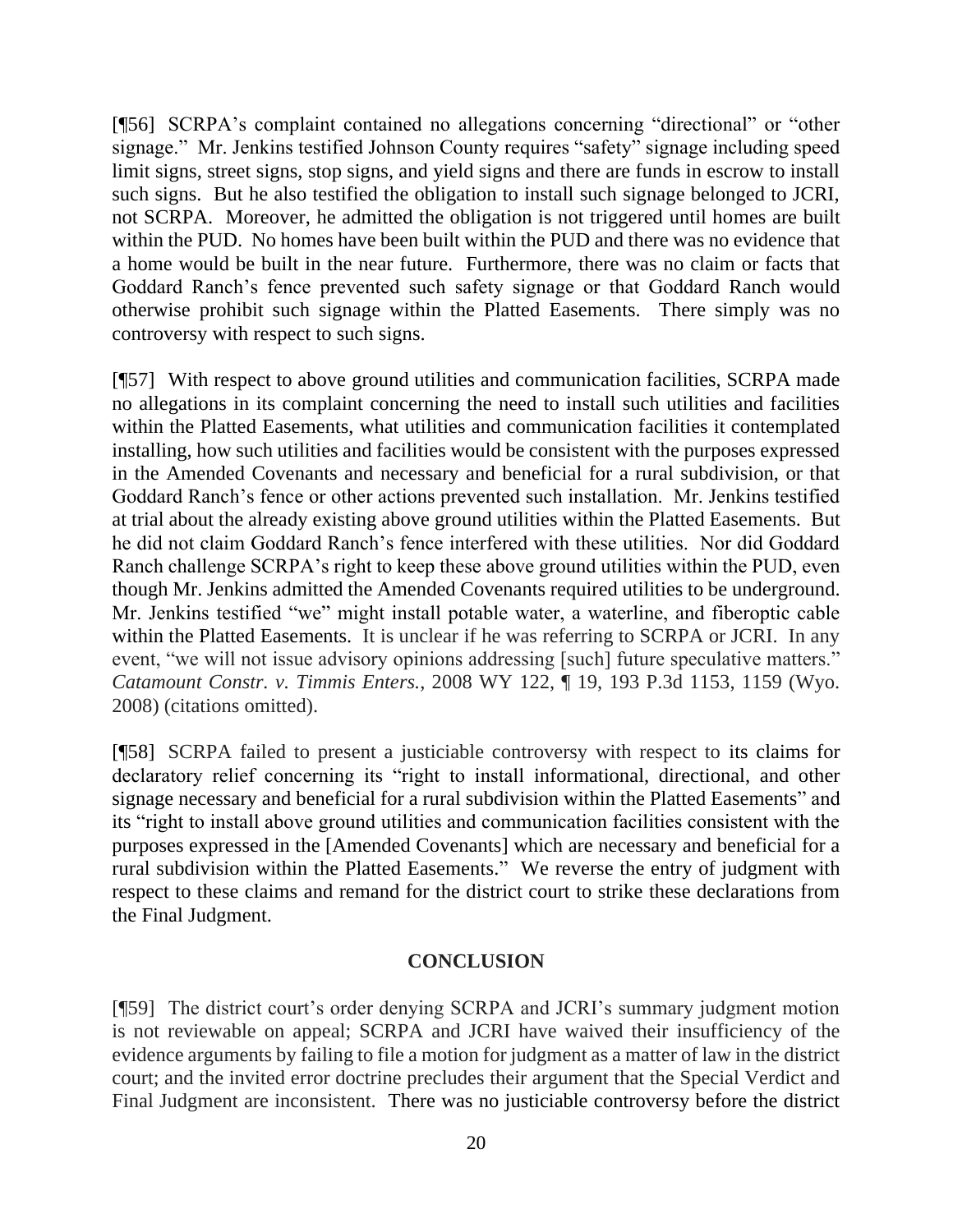[¶56] SCRPA's complaint contained no allegations concerning "directional" or "other signage." Mr. Jenkins testified Johnson County requires "safety" signage including speed limit signs, street signs, stop signs, and yield signs and there are funds in escrow to install such signs. But he also testified the obligation to install such signage belonged to JCRI, not SCRPA. Moreover, he admitted the obligation is not triggered until homes are built within the PUD. No homes have been built within the PUD and there was no evidence that a home would be built in the near future. Furthermore, there was no claim or facts that Goddard Ranch's fence prevented such safety signage or that Goddard Ranch would otherwise prohibit such signage within the Platted Easements. There simply was no controversy with respect to such signs.

[¶57] With respect to above ground utilities and communication facilities, SCRPA made no allegations in its complaint concerning the need to install such utilities and facilities within the Platted Easements, what utilities and communication facilities it contemplated installing, how such utilities and facilities would be consistent with the purposes expressed in the Amended Covenants and necessary and beneficial for a rural subdivision, or that Goddard Ranch's fence or other actions prevented such installation. Mr. Jenkins testified at trial about the already existing above ground utilities within the Platted Easements. But he did not claim Goddard Ranch's fence interfered with these utilities. Nor did Goddard Ranch challenge SCRPA's right to keep these above ground utilities within the PUD, even though Mr. Jenkins admitted the Amended Covenants required utilities to be underground. Mr. Jenkins testified "we" might install potable water, a waterline, and fiberoptic cable within the Platted Easements. It is unclear if he was referring to SCRPA or JCRI. In any event, "we will not issue advisory opinions addressing [such] future speculative matters." *Catamount Constr. v. Timmis Enters.*, 2008 WY 122, ¶ 19, 193 P.3d 1153, 1159 (Wyo. 2008) (citations omitted).

[¶58] SCRPA failed to present a justiciable controversy with respect to its claims for declaratory relief concerning its "right to install informational, directional, and other signage necessary and beneficial for a rural subdivision within the Platted Easements" and its "right to install above ground utilities and communication facilities consistent with the purposes expressed in the [Amended Covenants] which are necessary and beneficial for a rural subdivision within the Platted Easements." We reverse the entry of judgment with respect to these claims and remand for the district court to strike these declarations from the Final Judgment.

## **CONCLUSION**

[¶59] The district court's order denying SCRPA and JCRI's summary judgment motion is not reviewable on appeal; SCRPA and JCRI have waived their insufficiency of the evidence arguments by failing to file a motion for judgment as a matter of law in the district court; and the invited error doctrine precludes their argument that the Special Verdict and Final Judgment are inconsistent. There was no justiciable controversy before the district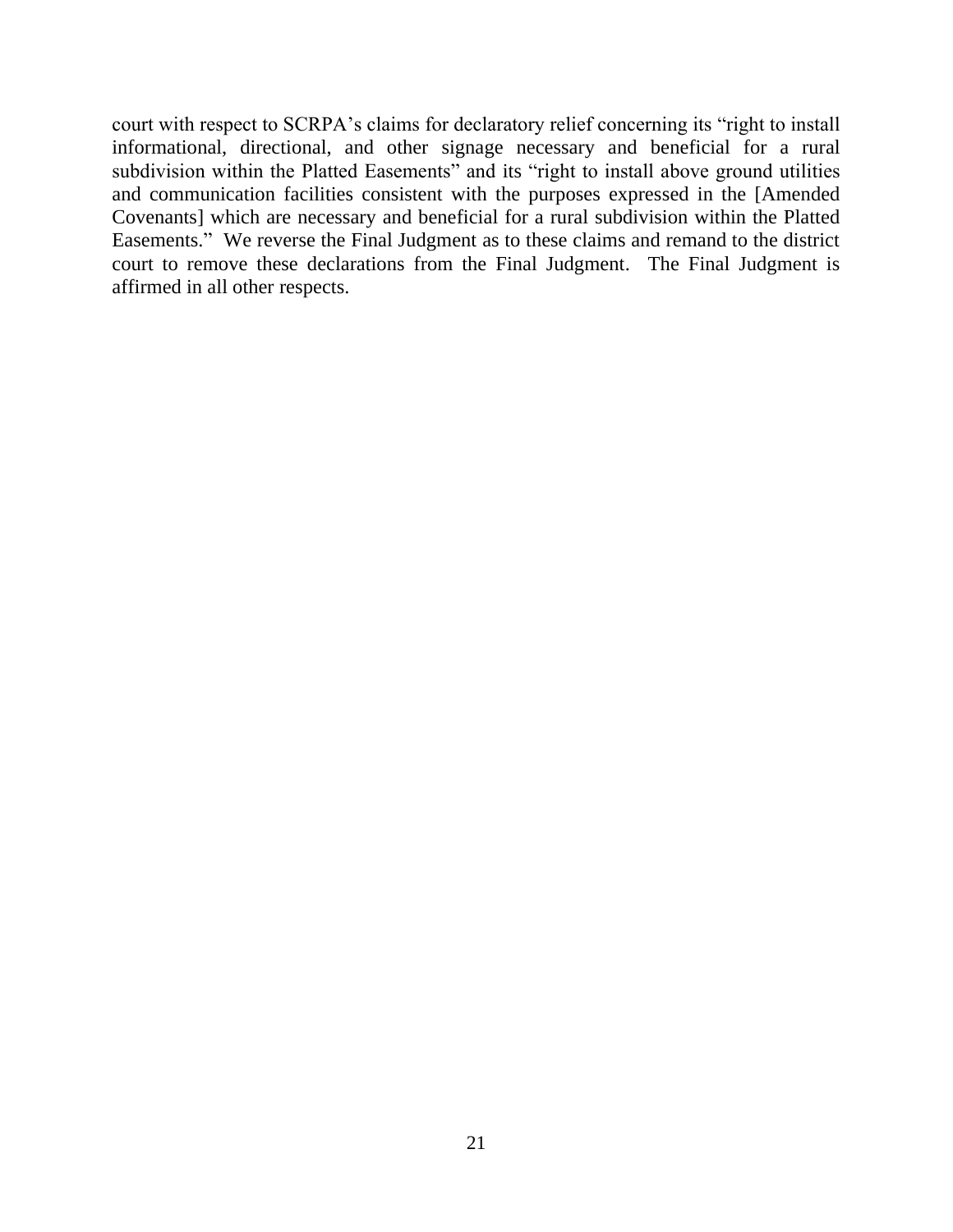court with respect to SCRPA's claims for declaratory relief concerning its "right to install informational, directional, and other signage necessary and beneficial for a rural subdivision within the Platted Easements" and its "right to install above ground utilities and communication facilities consistent with the purposes expressed in the [Amended Covenants] which are necessary and beneficial for a rural subdivision within the Platted Easements." We reverse the Final Judgment as to these claims and remand to the district court to remove these declarations from the Final Judgment. The Final Judgment is affirmed in all other respects.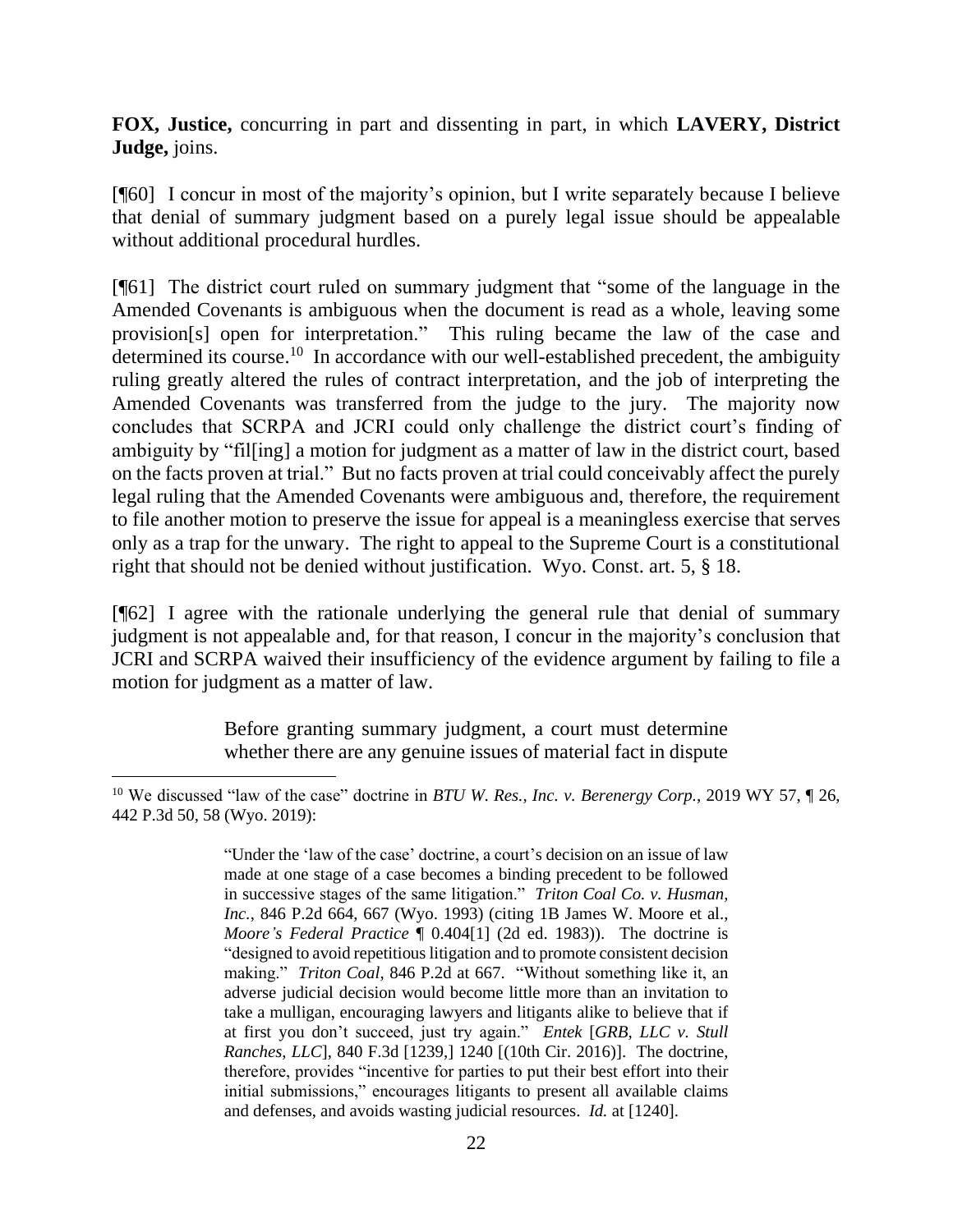**FOX, Justice,** concurring in part and dissenting in part, in which **LAVERY, District Judge,** joins.

[¶60] I concur in most of the majority's opinion, but I write separately because I believe that denial of summary judgment based on a purely legal issue should be appealable without additional procedural hurdles.

[¶61] The district court ruled on summary judgment that "some of the language in the Amended Covenants is ambiguous when the document is read as a whole, leaving some provision[s] open for interpretation." This ruling became the law of the case and determined its course.<sup>10</sup> In accordance with our well-established precedent, the ambiguity ruling greatly altered the rules of contract interpretation, and the job of interpreting the Amended Covenants was transferred from the judge to the jury. The majority now concludes that SCRPA and JCRI could only challenge the district court's finding of ambiguity by "fil[ing] a motion for judgment as a matter of law in the district court, based on the facts proven at trial." But no facts proven at trial could conceivably affect the purely legal ruling that the Amended Covenants were ambiguous and, therefore, the requirement to file another motion to preserve the issue for appeal is a meaningless exercise that serves only as a trap for the unwary. The right to appeal to the Supreme Court is a constitutional right that should not be denied without justification. Wyo. Const. art. 5, § 18.

[¶62] I agree with the rationale underlying the general rule that denial of summary judgment is not appealable and, for that reason, I concur in the majority's conclusion that JCRI and SCRPA waived their insufficiency of the evidence argument by failing to file a motion for judgment as a matter of law.

> Before granting summary judgment, a court must determine whether there are any genuine issues of material fact in dispute

<sup>10</sup> We discussed "law of the case" doctrine in *BTU W. Res., Inc. v. Berenergy Corp.*, 2019 WY 57, ¶ 26, 442 P.3d 50, 58 (Wyo. 2019):

<sup>&</sup>quot;Under the 'law of the case' doctrine, a court's decision on an issue of law made at one stage of a case becomes a binding precedent to be followed in successive stages of the same litigation." *Triton Coal Co. v. Husman, Inc.*, 846 P.2d 664, 667 (Wyo. 1993) (citing 1B James W. Moore et al., *Moore's Federal Practice* ¶ 0.404[1] (2d ed. 1983)). The doctrine is "designed to avoid repetitious litigation and to promote consistent decision making." *Triton Coal*, 846 P.2d at 667. "Without something like it, an adverse judicial decision would become little more than an invitation to take a mulligan, encouraging lawyers and litigants alike to believe that if at first you don't succeed, just try again." *Entek* [*GRB, LLC v. Stull Ranches, LLC*], 840 F.3d [1239,] 1240 [(10th Cir. 2016)]. The doctrine, therefore, provides "incentive for parties to put their best effort into their initial submissions," encourages litigants to present all available claims and defenses, and avoids wasting judicial resources. *Id.* at [1240].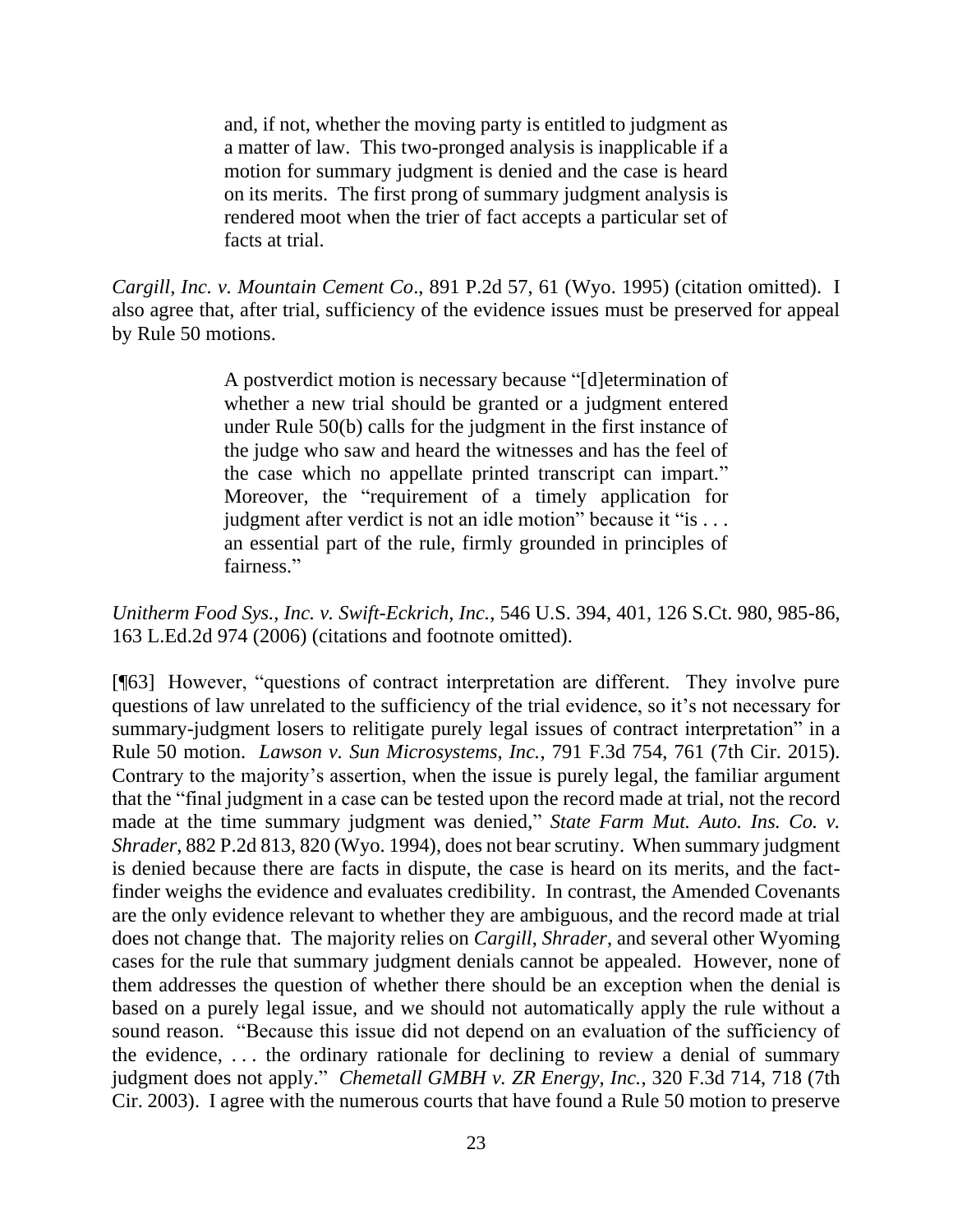and, if not, whether the moving party is entitled to judgment as a matter of law. This two-pronged analysis is inapplicable if a motion for summary judgment is denied and the case is heard on its merits. The first prong of summary judgment analysis is rendered moot when the trier of fact accepts a particular set of facts at trial.

*Cargill, Inc. v. Mountain Cement Co*., 891 P.2d 57, 61 (Wyo. 1995) (citation omitted). I also agree that, after trial, sufficiency of the evidence issues must be preserved for appeal by Rule 50 motions.

> A postverdict motion is necessary because "[d]etermination of whether a new trial should be granted or a judgment entered under Rule 50(b) calls for the judgment in the first instance of the judge who saw and heard the witnesses and has the feel of the case which no appellate printed transcript can impart." Moreover, the "requirement of a timely application for judgment after verdict is not an idle motion" because it "is ... an essential part of the rule, firmly grounded in principles of fairness."

*Unitherm Food Sys., Inc. v. Swift-Eckrich, Inc.*, 546 U.S. 394, 401, 126 S.Ct. 980, 985-86, 163 L.Ed.2d 974 (2006) (citations and footnote omitted).

[¶63] However, "questions of contract interpretation are different. They involve pure questions of law unrelated to the sufficiency of the trial evidence, so it's not necessary for summary-judgment losers to relitigate purely legal issues of contract interpretation" in a Rule 50 motion. *Lawson v. Sun Microsystems, Inc.*, 791 F.3d 754, 761 (7th Cir. 2015). Contrary to the majority's assertion, when the issue is purely legal, the familiar argument that the "final judgment in a case can be tested upon the record made at trial, not the record made at the time summary judgment was denied," *State Farm Mut. Auto. Ins. Co. v. Shrader*, 882 P.2d 813, 820 (Wyo. 1994), does not bear scrutiny. When summary judgment is denied because there are facts in dispute, the case is heard on its merits, and the factfinder weighs the evidence and evaluates credibility. In contrast, the Amended Covenants are the only evidence relevant to whether they are ambiguous, and the record made at trial does not change that. The majority relies on *Cargill*, *Shrader*, and several other Wyoming cases for the rule that summary judgment denials cannot be appealed. However, none of them addresses the question of whether there should be an exception when the denial is based on a purely legal issue, and we should not automatically apply the rule without a sound reason. "Because this issue did not depend on an evaluation of the sufficiency of the evidence,  $\dots$  the ordinary rationale for declining to review a denial of summary judgment does not apply." *Chemetall GMBH v. ZR Energy, Inc.*, 320 F.3d 714, 718 (7th Cir. 2003). I agree with the numerous courts that have found a Rule 50 motion to preserve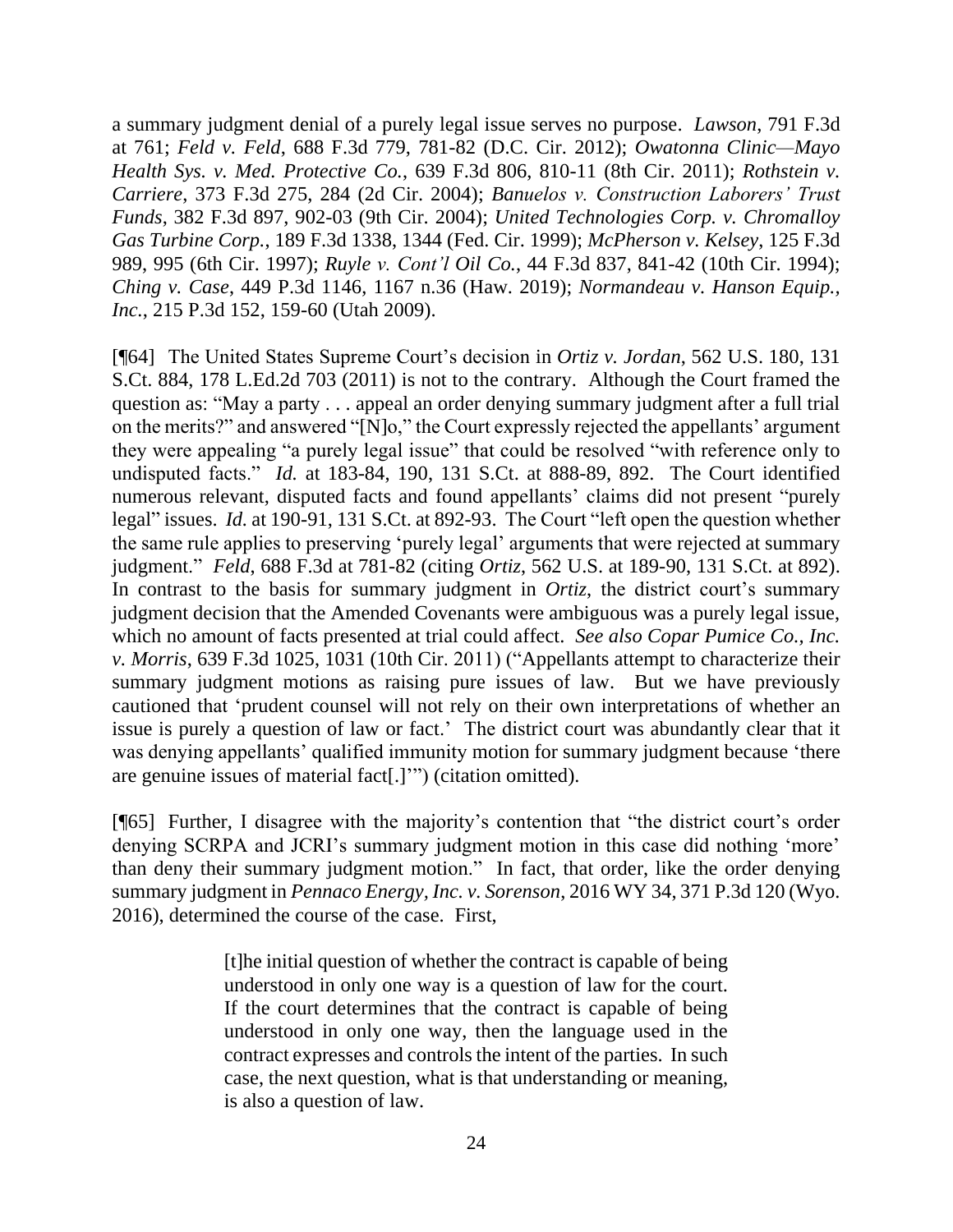a summary judgment denial of a purely legal issue serves no purpose. *Lawson*, 791 F.3d at 761; *Feld v. Feld*, 688 F.3d 779, 781-82 (D.C. Cir. 2012); *Owatonna Clinic—Mayo Health Sys. v. Med. Protective Co.*, 639 F.3d 806, 810-11 (8th Cir. 2011); *Rothstein v. Carriere*, 373 F.3d 275, 284 (2d Cir. 2004); *Banuelos v. Construction Laborers' Trust Funds*, 382 F.3d 897, 902-03 (9th Cir. 2004); *United Technologies Corp. v. Chromalloy Gas Turbine Corp.*, 189 F.3d 1338, 1344 (Fed. Cir. 1999); *McPherson v. Kelsey*, 125 F.3d 989, 995 (6th Cir. 1997); *Ruyle v. Cont'l Oil Co.*, 44 F.3d 837, 841-42 (10th Cir. 1994); *Ching v. Case*, 449 P.3d 1146, 1167 n.36 (Haw. 2019); *Normandeau v. Hanson Equip., Inc.*, 215 P.3d 152, 159-60 (Utah 2009).

[¶64] The United States Supreme Court's decision in *Ortiz v. Jordan*, 562 U.S. 180, 131 S.Ct. 884, 178 L.Ed.2d 703 (2011) is not to the contrary. Although the Court framed the question as: "May a party . . . appeal an order denying summary judgment after a full trial on the merits?" and answered "[N]o," the Court expressly rejected the appellants' argument they were appealing "a purely legal issue" that could be resolved "with reference only to undisputed facts." *Id.* at 183-84, 190, 131 S.Ct. at 888-89, 892. The Court identified numerous relevant, disputed facts and found appellants' claims did not present "purely legal" issues. *Id.* at 190-91, 131 S.Ct. at 892-93. The Court "left open the question whether the same rule applies to preserving 'purely legal' arguments that were rejected at summary judgment." *Feld*, 688 F.3d at 781-82 (citing *Ortiz*, 562 U.S. at 189-90, 131 S.Ct. at 892). In contrast to the basis for summary judgment in *Ortiz*, the district court's summary judgment decision that the Amended Covenants were ambiguous was a purely legal issue, which no amount of facts presented at trial could affect. *See also Copar Pumice Co., Inc. v. Morris*, 639 F.3d 1025, 1031 (10th Cir. 2011) ("Appellants attempt to characterize their summary judgment motions as raising pure issues of law. But we have previously cautioned that 'prudent counsel will not rely on their own interpretations of whether an issue is purely a question of law or fact.' The district court was abundantly clear that it was denying appellants' qualified immunity motion for summary judgment because 'there are genuine issues of material fact[.]'") (citation omitted).

[¶65] Further, I disagree with the majority's contention that "the district court's order denying SCRPA and JCRI's summary judgment motion in this case did nothing 'more' than deny their summary judgment motion." In fact, that order, like the order denying summary judgment in *Pennaco Energy, Inc. v. Sorenson*, 2016 WY 34, 371 P.3d 120 (Wyo. 2016), determined the course of the case. First,

> [t]he initial question of whether the contract is capable of being understood in only one way is a question of law for the court. If the court determines that the contract is capable of being understood in only one way, then the language used in the contract expresses and controls the intent of the parties. In such case, the next question, what is that understanding or meaning, is also a question of law.